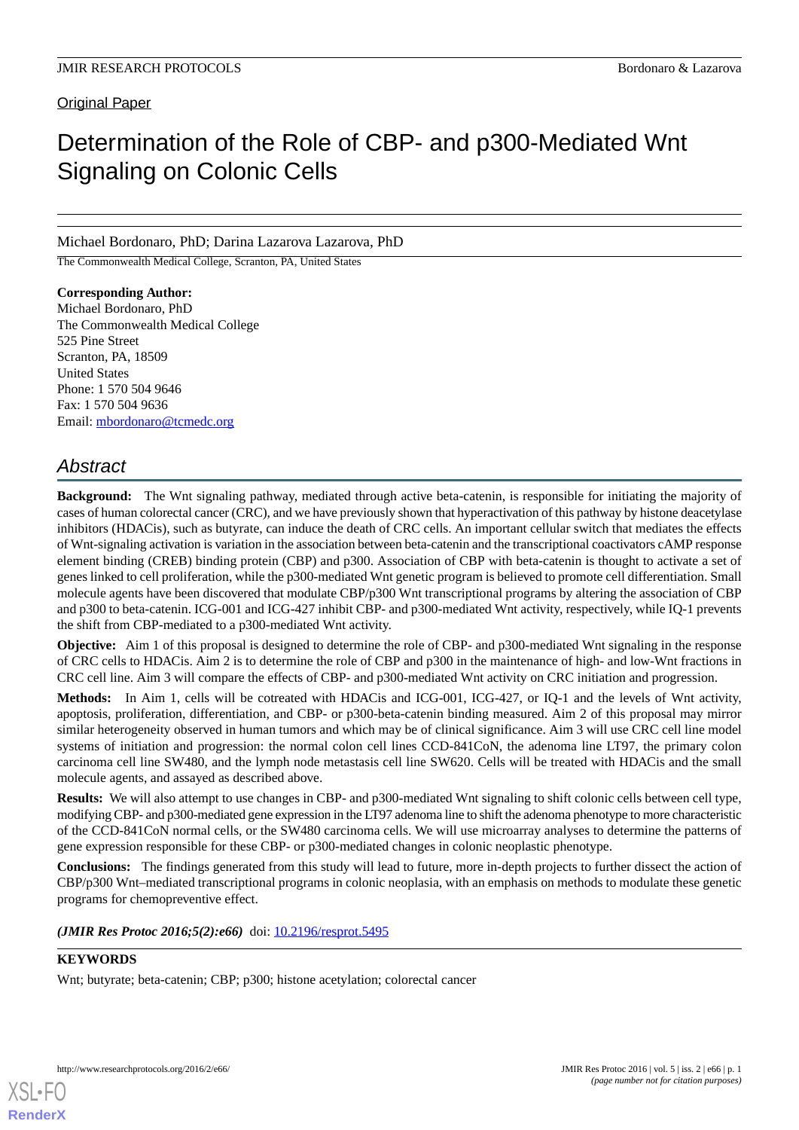# **Original Paper**

# Determination of the Role of CBP- and p300-Mediated Wnt Signaling on Colonic Cells

Michael Bordonaro, PhD; Darina Lazarova Lazarova, PhD

The Commonwealth Medical College, Scranton, PA, United States

**Corresponding Author:** Michael Bordonaro, PhD The Commonwealth Medical College 525 Pine Street Scranton, PA, 18509 United States Phone: 1 570 504 9646 Fax: 1 570 504 9636 Email: [mbordonaro@tcmedc.org](mailto:mbordonaro@tcmedc.org)

# *Abstract*

**Background:** The Wnt signaling pathway, mediated through active beta-catenin, is responsible for initiating the majority of cases of human colorectal cancer (CRC), and we have previously shown that hyperactivation of this pathway by histone deacetylase inhibitors (HDACis), such as butyrate, can induce the death of CRC cells. An important cellular switch that mediates the effects of Wnt-signaling activation is variation in the association between beta-catenin and the transcriptional coactivators cAMP response element binding (CREB) binding protein (CBP) and p300. Association of CBP with beta-catenin is thought to activate a set of genes linked to cell proliferation, while the p300-mediated Wnt genetic program is believed to promote cell differentiation. Small molecule agents have been discovered that modulate CBP/p300 Wnt transcriptional programs by altering the association of CBP and p300 to beta-catenin. ICG-001 and ICG-427 inhibit CBP- and p300-mediated Wnt activity, respectively, while IQ-1 prevents the shift from CBP-mediated to a p300-mediated Wnt activity.

**Objective:** Aim 1 of this proposal is designed to determine the role of CBP- and p300-mediated Wnt signaling in the response of CRC cells to HDACis. Aim 2 is to determine the role of CBP and p300 in the maintenance of high- and low-Wnt fractions in CRC cell line. Aim 3 will compare the effects of CBP- and p300-mediated Wnt activity on CRC initiation and progression.

**Methods:** In Aim 1, cells will be cotreated with HDACis and ICG-001, ICG-427, or IQ-1 and the levels of Wnt activity, apoptosis, proliferation, differentiation, and CBP- or p300-beta-catenin binding measured. Aim 2 of this proposal may mirror similar heterogeneity observed in human tumors and which may be of clinical significance. Aim 3 will use CRC cell line model systems of initiation and progression: the normal colon cell lines CCD-841CoN, the adenoma line LT97, the primary colon carcinoma cell line SW480, and the lymph node metastasis cell line SW620. Cells will be treated with HDACis and the small molecule agents, and assayed as described above.

**Results:** We will also attempt to use changes in CBP- and p300-mediated Wnt signaling to shift colonic cells between cell type, modifying CBP- and p300-mediated gene expression in the LT97 adenoma line to shift the adenoma phenotype to more characteristic of the CCD-841CoN normal cells, or the SW480 carcinoma cells. We will use microarray analyses to determine the patterns of gene expression responsible for these CBP- or p300-mediated changes in colonic neoplastic phenotype.

**Conclusions:** The findings generated from this study will lead to future, more in-depth projects to further dissect the action of CBP/p300 Wnt–mediated transcriptional programs in colonic neoplasia, with an emphasis on methods to modulate these genetic programs for chemopreventive effect.

(JMIR Res Protoc 2016;5(2):e66) doi: [10.2196/resprot.5495](http://dx.doi.org/10.2196/resprot.5495)

# **KEYWORDS**

[XSL](http://www.w3.org/Style/XSL)•FO **[RenderX](http://www.renderx.com/)**

Wnt; butyrate; beta-catenin; CBP; p300; histone acetylation; colorectal cancer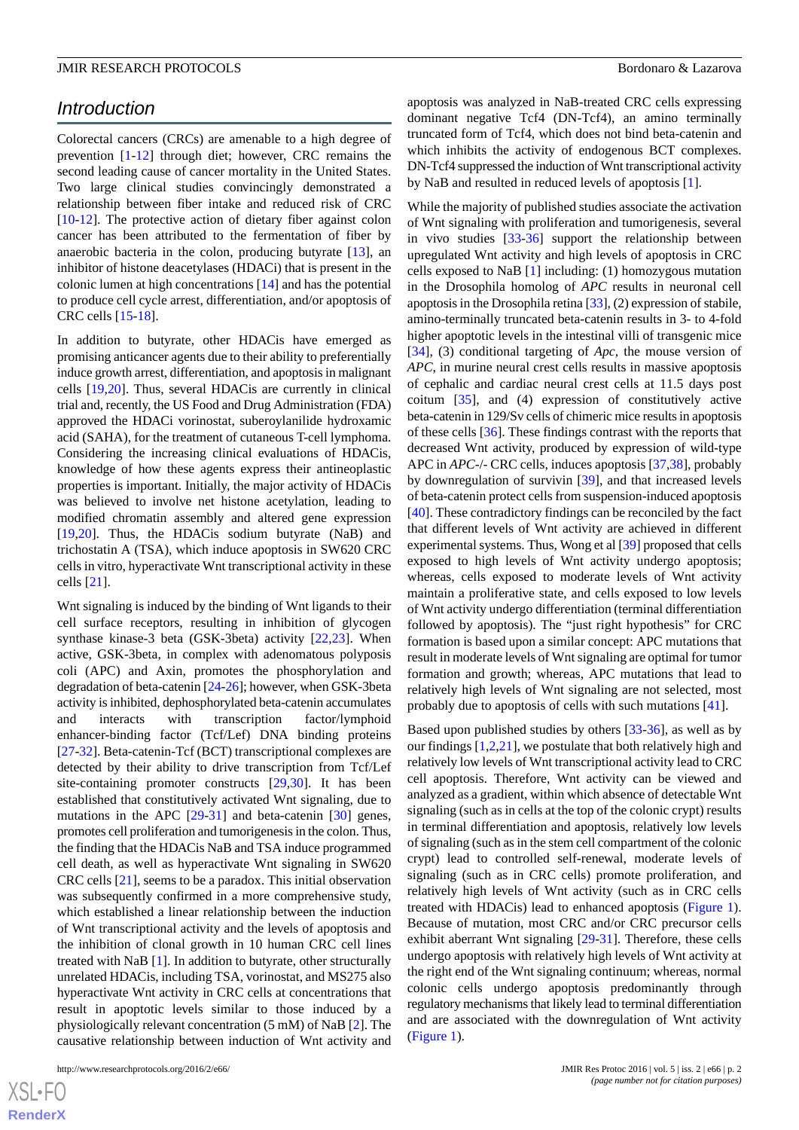# *Introduction*

Colorectal cancers (CRCs) are amenable to a high degree of prevention [[1](#page-14-0)[-12](#page-14-1)] through diet; however, CRC remains the second leading cause of cancer mortality in the United States. Two large clinical studies convincingly demonstrated a relationship between fiber intake and reduced risk of CRC [[10](#page-14-2)[-12](#page-14-1)]. The protective action of dietary fiber against colon cancer has been attributed to the fermentation of fiber by anaerobic bacteria in the colon, producing butyrate [\[13](#page-14-3)], an inhibitor of histone deacetylases (HDACi) that is present in the colonic lumen at high concentrations [[14\]](#page-14-4) and has the potential to produce cell cycle arrest, differentiation, and/or apoptosis of CRC cells [\[15](#page-14-5)[-18](#page-14-6)].

In addition to butyrate, other HDACis have emerged as promising anticancer agents due to their ability to preferentially induce growth arrest, differentiation, and apoptosis in malignant cells [[19](#page-14-7)[,20](#page-14-8)]. Thus, several HDACis are currently in clinical trial and, recently, the US Food and Drug Administration (FDA) approved the HDACi vorinostat, suberoylanilide hydroxamic acid (SAHA), for the treatment of cutaneous T-cell lymphoma. Considering the increasing clinical evaluations of HDACis, knowledge of how these agents express their antineoplastic properties is important. Initially, the major activity of HDACis was believed to involve net histone acetylation, leading to modified chromatin assembly and altered gene expression [[19](#page-14-7)[,20](#page-14-8)]. Thus, the HDACis sodium butyrate (NaB) and trichostatin A (TSA), which induce apoptosis in SW620 CRC cells in vitro, hyperactivate Wnt transcriptional activity in these cells [[21\]](#page-14-9).

Wnt signaling is induced by the binding of Wnt ligands to their cell surface receptors, resulting in inhibition of glycogen synthase kinase-3 beta (GSK-3beta) activity [[22](#page-14-10)[,23](#page-15-0)]. When active, GSK-3beta, in complex with adenomatous polyposis coli (APC) and Axin, promotes the phosphorylation and degradation of beta-catenin [[24](#page-15-1)[-26](#page-15-2)]; however, when GSK-3beta activity is inhibited, dephosphorylated beta-catenin accumulates and interacts with transcription factor/lymphoid enhancer-binding factor (Tcf/Lef) DNA binding proteins [[27](#page-15-3)[-32](#page-15-4)]. Beta-catenin-Tcf (BCT) transcriptional complexes are detected by their ability to drive transcription from Tcf/Lef site-containing promoter constructs [[29,](#page-15-5)[30](#page-15-6)]. It has been established that constitutively activated Wnt signaling, due to mutations in the APC [\[29](#page-15-5)-[31\]](#page-15-7) and beta-catenin [[30\]](#page-15-6) genes, promotes cell proliferation and tumorigenesis in the colon. Thus, the finding that the HDACis NaB and TSA induce programmed cell death, as well as hyperactivate Wnt signaling in SW620 CRC cells [[21\]](#page-14-9), seems to be a paradox. This initial observation was subsequently confirmed in a more comprehensive study, which established a linear relationship between the induction of Wnt transcriptional activity and the levels of apoptosis and the inhibition of clonal growth in 10 human CRC cell lines treated with NaB [\[1](#page-14-0)]. In addition to butyrate, other structurally unrelated HDACis, including TSA, vorinostat, and MS275 also hyperactivate Wnt activity in CRC cells at concentrations that result in apoptotic levels similar to those induced by a physiologically relevant concentration (5 mM) of NaB [\[2](#page-14-11)]. The causative relationship between induction of Wnt activity and

apoptosis was analyzed in NaB-treated CRC cells expressing dominant negative Tcf4 (DN-Tcf4), an amino terminally truncated form of Tcf4, which does not bind beta-catenin and which inhibits the activity of endogenous BCT complexes. DN-Tcf4 suppressed the induction of Wnt transcriptional activity by NaB and resulted in reduced levels of apoptosis [\[1](#page-14-0)].

While the majority of published studies associate the activation of Wnt signaling with proliferation and tumorigenesis, several in vivo studies [\[33](#page-15-8)-[36\]](#page-15-9) support the relationship between upregulated Wnt activity and high levels of apoptosis in CRC cells exposed to NaB [[1\]](#page-14-0) including: (1) homozygous mutation in the Drosophila homolog of *APC* results in neuronal cell apoptosis in the Drosophila retina [[33\]](#page-15-8), (2) expression of stabile, amino-terminally truncated beta-catenin results in 3- to 4-fold higher apoptotic levels in the intestinal villi of transgenic mice [[34\]](#page-15-10), (3) conditional targeting of *Apc*, the mouse version of *APC*, in murine neural crest cells results in massive apoptosis of cephalic and cardiac neural crest cells at 11.5 days post coitum [[35\]](#page-15-11), and (4) expression of constitutively active beta-catenin in 129/Sv cells of chimeric mice results in apoptosis of these cells [[36\]](#page-15-9). These findings contrast with the reports that decreased Wnt activity, produced by expression of wild-type APC in *APC*-/- CRC cells, induces apoptosis [[37,](#page-15-12)[38](#page-15-13)], probably by downregulation of survivin [[39\]](#page-15-14), and that increased levels of beta-catenin protect cells from suspension-induced apoptosis [[40\]](#page-15-15). These contradictory findings can be reconciled by the fact that different levels of Wnt activity are achieved in different experimental systems. Thus, Wong et al [\[39](#page-15-14)] proposed that cells exposed to high levels of Wnt activity undergo apoptosis; whereas, cells exposed to moderate levels of Wnt activity maintain a proliferative state, and cells exposed to low levels of Wnt activity undergo differentiation (terminal differentiation followed by apoptosis). The "just right hypothesis" for CRC formation is based upon a similar concept: APC mutations that result in moderate levels of Wnt signaling are optimal for tumor formation and growth; whereas, APC mutations that lead to relatively high levels of Wnt signaling are not selected, most probably due to apoptosis of cells with such mutations [\[41](#page-15-16)].

Based upon published studies by others [[33-](#page-15-8)[36](#page-15-9)], as well as by our findings [\[1](#page-14-0),[2,](#page-14-11)[21](#page-14-9)], we postulate that both relatively high and relatively low levels of Wnt transcriptional activity lead to CRC cell apoptosis. Therefore, Wnt activity can be viewed and analyzed as a gradient, within which absence of detectable Wnt signaling (such as in cells at the top of the colonic crypt) results in terminal differentiation and apoptosis, relatively low levels of signaling (such as in the stem cell compartment of the colonic crypt) lead to controlled self-renewal, moderate levels of signaling (such as in CRC cells) promote proliferation, and relatively high levels of Wnt activity (such as in CRC cells treated with HDACis) lead to enhanced apoptosis [\(Figure 1\)](#page-4-0). Because of mutation, most CRC and/or CRC precursor cells exhibit aberrant Wnt signaling [[29-](#page-15-5)[31\]](#page-15-7). Therefore, these cells undergo apoptosis with relatively high levels of Wnt activity at the right end of the Wnt signaling continuum; whereas, normal colonic cells undergo apoptosis predominantly through regulatory mechanisms that likely lead to terminal differentiation and are associated with the downregulation of Wnt activity ([Figure 1\)](#page-4-0).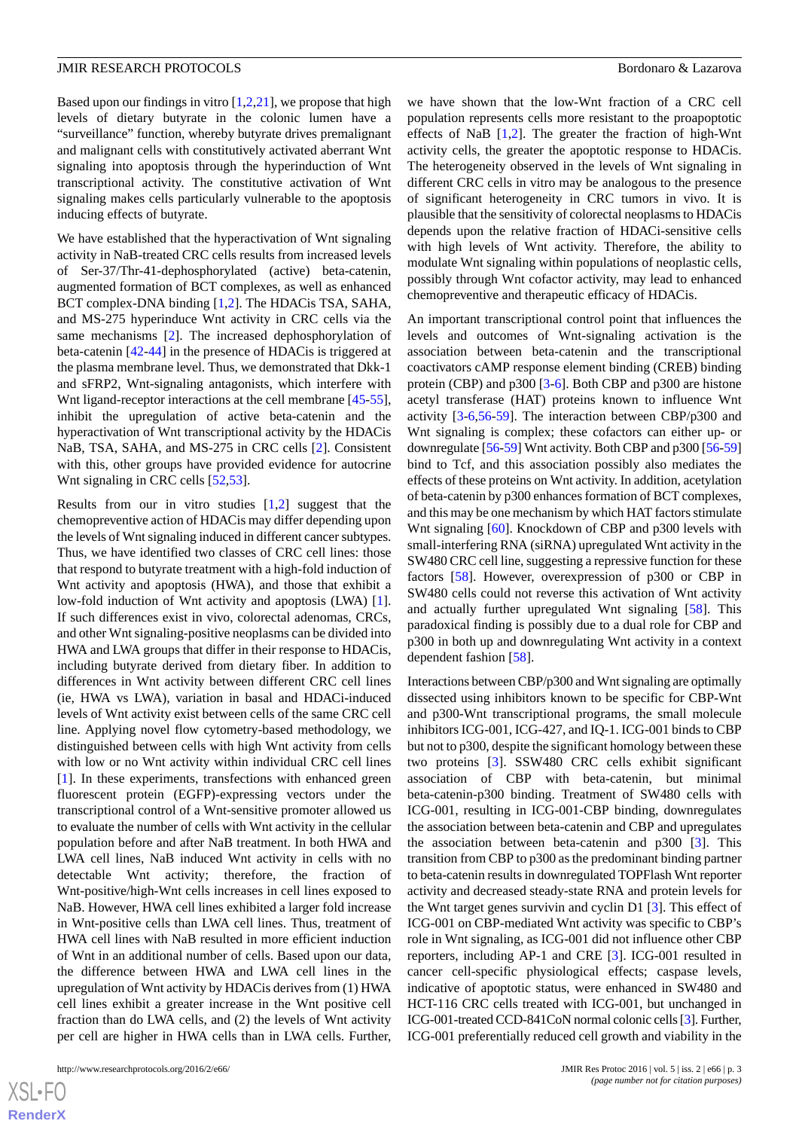Based upon our findings in vitro  $[1,2,21]$  $[1,2,21]$  $[1,2,21]$  $[1,2,21]$  $[1,2,21]$ , we propose that high levels of dietary butyrate in the colonic lumen have a "surveillance" function, whereby butyrate drives premalignant and malignant cells with constitutively activated aberrant Wnt signaling into apoptosis through the hyperinduction of Wnt transcriptional activity. The constitutive activation of Wnt signaling makes cells particularly vulnerable to the apoptosis inducing effects of butyrate.

We have established that the hyperactivation of Wnt signaling activity in NaB-treated CRC cells results from increased levels of Ser-37/Thr-41-dephosphorylated (active) beta-catenin, augmented formation of BCT complexes, as well as enhanced BCT complex-DNA binding [\[1](#page-14-0),[2\]](#page-14-11). The HDACis TSA, SAHA, and MS-275 hyperinduce Wnt activity in CRC cells via the same mechanisms [[2](#page-14-11)]. The increased dephosphorylation of beta-catenin [\[42](#page-15-17)-[44\]](#page-15-18) in the presence of HDACis is triggered at the plasma membrane level. Thus, we demonstrated that Dkk-1 and sFRP2, Wnt-signaling antagonists, which interfere with Wnt ligand-receptor interactions at the cell membrane [\[45](#page-15-19)-[55\]](#page-16-0), inhibit the upregulation of active beta-catenin and the hyperactivation of Wnt transcriptional activity by the HDACis NaB, TSA, SAHA, and MS-275 in CRC cells [[2](#page-14-11)]. Consistent with this, other groups have provided evidence for autocrine Wnt signaling in CRC cells [\[52](#page-16-1),[53\]](#page-16-2).

Results from our in vitro studies  $[1,2]$  $[1,2]$  $[1,2]$  $[1,2]$  suggest that the chemopreventive action of HDACis may differ depending upon the levels of Wnt signaling induced in different cancer subtypes. Thus, we have identified two classes of CRC cell lines: those that respond to butyrate treatment with a high-fold induction of Wnt activity and apoptosis (HWA), and those that exhibit a low-fold induction of Wnt activity and apoptosis (LWA) [[1\]](#page-14-0). If such differences exist in vivo, colorectal adenomas, CRCs, and other Wnt signaling-positive neoplasms can be divided into HWA and LWA groups that differ in their response to HDACis, including butyrate derived from dietary fiber. In addition to differences in Wnt activity between different CRC cell lines (ie, HWA vs LWA), variation in basal and HDACi-induced levels of Wnt activity exist between cells of the same CRC cell line. Applying novel flow cytometry-based methodology, we distinguished between cells with high Wnt activity from cells with low or no Wnt activity within individual CRC cell lines [[1\]](#page-14-0). In these experiments, transfections with enhanced green fluorescent protein (EGFP)-expressing vectors under the transcriptional control of a Wnt-sensitive promoter allowed us to evaluate the number of cells with Wnt activity in the cellular population before and after NaB treatment. In both HWA and LWA cell lines, NaB induced Wnt activity in cells with no detectable Wnt activity; therefore, the fraction of Wnt-positive/high-Wnt cells increases in cell lines exposed to NaB. However, HWA cell lines exhibited a larger fold increase in Wnt-positive cells than LWA cell lines. Thus, treatment of HWA cell lines with NaB resulted in more efficient induction of Wnt in an additional number of cells. Based upon our data, the difference between HWA and LWA cell lines in the upregulation of Wnt activity by HDACis derives from (1) HWA cell lines exhibit a greater increase in the Wnt positive cell fraction than do LWA cells, and (2) the levels of Wnt activity per cell are higher in HWA cells than in LWA cells. Further,

we have shown that the low-Wnt fraction of a CRC cell population represents cells more resistant to the proapoptotic effects of NaB [[1,](#page-14-0)[2](#page-14-11)]. The greater the fraction of high-Wnt activity cells, the greater the apoptotic response to HDACis. The heterogeneity observed in the levels of Wnt signaling in different CRC cells in vitro may be analogous to the presence of significant heterogeneity in CRC tumors in vivo. It is plausible that the sensitivity of colorectal neoplasms to HDACis depends upon the relative fraction of HDACi-sensitive cells with high levels of Wnt activity. Therefore, the ability to modulate Wnt signaling within populations of neoplastic cells, possibly through Wnt cofactor activity, may lead to enhanced chemopreventive and therapeutic efficacy of HDACis.

An important transcriptional control point that influences the levels and outcomes of Wnt-signaling activation is the association between beta-catenin and the transcriptional coactivators cAMP response element binding (CREB) binding protein (CBP) and p300 [\[3](#page-14-12)[-6](#page-14-13)]. Both CBP and p300 are histone acetyl transferase (HAT) proteins known to influence Wnt activity [[3-](#page-14-12)[6](#page-14-13)[,56](#page-16-3)-[59\]](#page-16-4). The interaction between CBP/p300 and Wnt signaling is complex; these cofactors can either up- or downregulate [\[56](#page-16-3)-[59\]](#page-16-4) Wnt activity. Both CBP and p300 [\[56](#page-16-3)-[59\]](#page-16-4) bind to Tcf, and this association possibly also mediates the effects of these proteins on Wnt activity. In addition, acetylation of beta-catenin by p300 enhances formation of BCT complexes, and this may be one mechanism by which HAT factors stimulate Wnt signaling [\[60](#page-16-5)]. Knockdown of CBP and p300 levels with small-interfering RNA (siRNA) upregulated Wnt activity in the SW480 CRC cell line, suggesting a repressive function for these factors [\[58](#page-16-6)]. However, overexpression of p300 or CBP in SW480 cells could not reverse this activation of Wnt activity and actually further upregulated Wnt signaling [[58\]](#page-16-6). This paradoxical finding is possibly due to a dual role for CBP and p300 in both up and downregulating Wnt activity in a context dependent fashion [\[58](#page-16-6)].

Interactions between CBP/p300 and Wnt signaling are optimally dissected using inhibitors known to be specific for CBP-Wnt and p300-Wnt transcriptional programs, the small molecule inhibitors ICG-001, ICG-427, and IQ-1. ICG-001 binds to CBP but not to p300, despite the significant homology between these two proteins [[3\]](#page-14-12). SSW480 CRC cells exhibit significant association of CBP with beta-catenin, but minimal beta-catenin-p300 binding. Treatment of SW480 cells with ICG-001, resulting in ICG-001-CBP binding, downregulates the association between beta-catenin and CBP and upregulates the association between beta-catenin and p300 [[3\]](#page-14-12). This transition from CBP to p300 as the predominant binding partner to beta-catenin results in downregulated TOPFlash Wnt reporter activity and decreased steady-state RNA and protein levels for the Wnt target genes survivin and cyclin D1 [[3\]](#page-14-12). This effect of ICG-001 on CBP-mediated Wnt activity was specific to CBP's role in Wnt signaling, as ICG-001 did not influence other CBP reporters, including AP-1 and CRE [\[3](#page-14-12)]. ICG-001 resulted in cancer cell-specific physiological effects; caspase levels, indicative of apoptotic status, were enhanced in SW480 and HCT-116 CRC cells treated with ICG-001, but unchanged in ICG-001-treated CCD-841CoN normal colonic cells [\[3\]](#page-14-12). Further, ICG-001 preferentially reduced cell growth and viability in the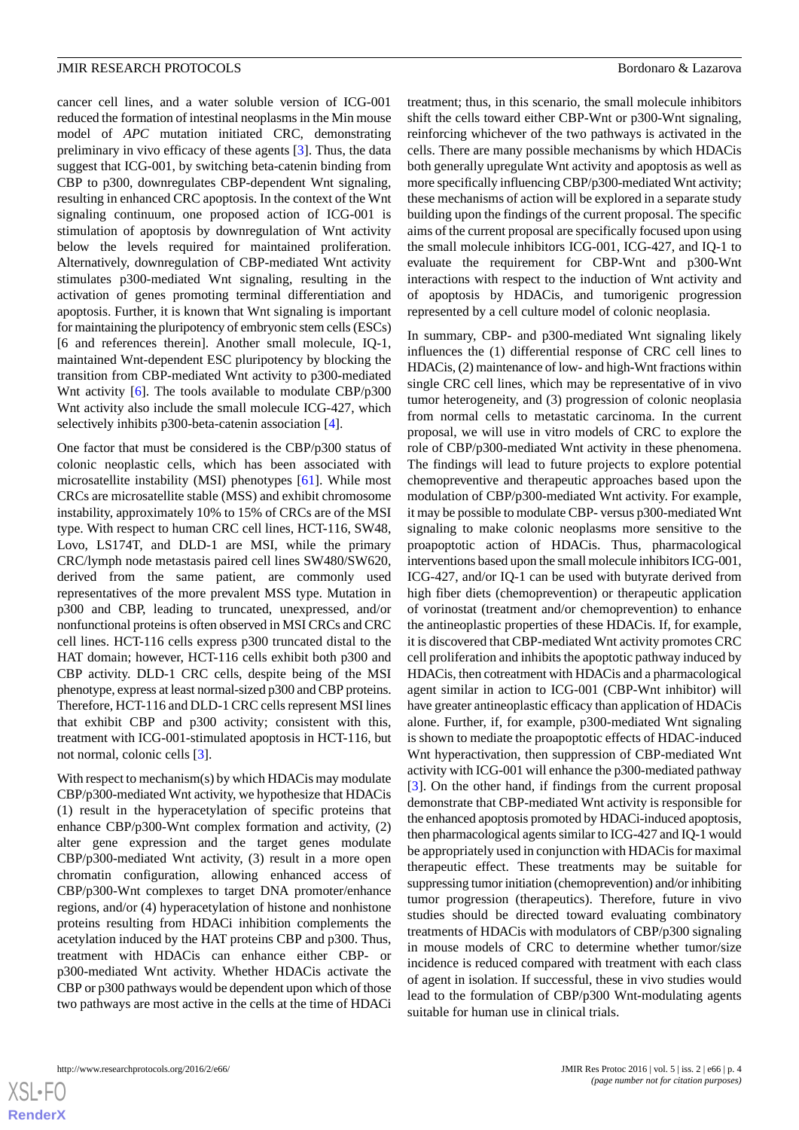cancer cell lines, and a water soluble version of ICG-001 reduced the formation of intestinal neoplasms in the Min mouse model of *APC* mutation initiated CRC, demonstrating preliminary in vivo efficacy of these agents [[3\]](#page-14-12). Thus, the data suggest that ICG-001, by switching beta-catenin binding from CBP to p300, downregulates CBP-dependent Wnt signaling, resulting in enhanced CRC apoptosis. In the context of the Wnt signaling continuum, one proposed action of ICG-001 is stimulation of apoptosis by downregulation of Wnt activity below the levels required for maintained proliferation. Alternatively, downregulation of CBP-mediated Wnt activity stimulates p300-mediated Wnt signaling, resulting in the activation of genes promoting terminal differentiation and apoptosis. Further, it is known that Wnt signaling is important for maintaining the pluripotency of embryonic stem cells (ESCs) [6 and references therein]. Another small molecule, IQ-1, maintained Wnt-dependent ESC pluripotency by blocking the transition from CBP-mediated Wnt activity to p300-mediated Wnt activity [\[6\]](#page-14-13). The tools available to modulate CBP/p300 Wnt activity also include the small molecule ICG-427, which selectively inhibits p300-beta-catenin association [[4\]](#page-14-14).

One factor that must be considered is the CBP/p300 status of colonic neoplastic cells, which has been associated with microsatellite instability (MSI) phenotypes [[61\]](#page-16-7). While most CRCs are microsatellite stable (MSS) and exhibit chromosome instability, approximately 10% to 15% of CRCs are of the MSI type. With respect to human CRC cell lines, HCT-116, SW48, Lovo, LS174T, and DLD-1 are MSI, while the primary CRC/lymph node metastasis paired cell lines SW480/SW620, derived from the same patient, are commonly used representatives of the more prevalent MSS type. Mutation in p300 and CBP, leading to truncated, unexpressed, and/or nonfunctional proteins is often observed in MSI CRCs and CRC cell lines. HCT-116 cells express p300 truncated distal to the HAT domain; however, HCT-116 cells exhibit both p300 and CBP activity. DLD-1 CRC cells, despite being of the MSI phenotype, express at least normal-sized p300 and CBP proteins. Therefore, HCT-116 and DLD-1 CRC cells represent MSI lines that exhibit CBP and p300 activity; consistent with this, treatment with ICG-001-stimulated apoptosis in HCT-116, but not normal, colonic cells [\[3](#page-14-12)].

With respect to mechanism(s) by which HDACis may modulate CBP/p300-mediated Wnt activity, we hypothesize that HDACis (1) result in the hyperacetylation of specific proteins that enhance CBP/p300-Wnt complex formation and activity, (2) alter gene expression and the target genes modulate CBP/p300-mediated Wnt activity, (3) result in a more open chromatin configuration, allowing enhanced access of CBP/p300-Wnt complexes to target DNA promoter/enhance regions, and/or (4) hyperacetylation of histone and nonhistone proteins resulting from HDACi inhibition complements the acetylation induced by the HAT proteins CBP and p300. Thus, treatment with HDACis can enhance either CBP- or p300-mediated Wnt activity. Whether HDACis activate the CBP or p300 pathways would be dependent upon which of those two pathways are most active in the cells at the time of HDACi

treatment; thus, in this scenario, the small molecule inhibitors shift the cells toward either CBP-Wnt or p300-Wnt signaling, reinforcing whichever of the two pathways is activated in the cells. There are many possible mechanisms by which HDACis both generally upregulate Wnt activity and apoptosis as well as more specifically influencing CBP/p300-mediated Wnt activity; these mechanisms of action will be explored in a separate study building upon the findings of the current proposal. The specific aims of the current proposal are specifically focused upon using the small molecule inhibitors ICG-001, ICG-427, and IQ-1 to evaluate the requirement for CBP-Wnt and p300-Wnt interactions with respect to the induction of Wnt activity and of apoptosis by HDACis, and tumorigenic progression represented by a cell culture model of colonic neoplasia.

In summary, CBP- and p300-mediated Wnt signaling likely influences the (1) differential response of CRC cell lines to HDACis, (2) maintenance of low- and high-Wnt fractions within single CRC cell lines, which may be representative of in vivo tumor heterogeneity, and (3) progression of colonic neoplasia from normal cells to metastatic carcinoma. In the current proposal, we will use in vitro models of CRC to explore the role of CBP/p300-mediated Wnt activity in these phenomena. The findings will lead to future projects to explore potential chemopreventive and therapeutic approaches based upon the modulation of CBP/p300-mediated Wnt activity. For example, it may be possible to modulate CBP- versus p300-mediated Wnt signaling to make colonic neoplasms more sensitive to the proapoptotic action of HDACis. Thus, pharmacological interventions based upon the small molecule inhibitors ICG-001, ICG-427, and/or IQ-1 can be used with butyrate derived from high fiber diets (chemoprevention) or therapeutic application of vorinostat (treatment and/or chemoprevention) to enhance the antineoplastic properties of these HDACis. If, for example, it is discovered that CBP-mediated Wnt activity promotes CRC cell proliferation and inhibits the apoptotic pathway induced by HDACis, then cotreatment with HDACis and a pharmacological agent similar in action to ICG-001 (CBP-Wnt inhibitor) will have greater antineoplastic efficacy than application of HDACis alone. Further, if, for example, p300-mediated Wnt signaling is shown to mediate the proapoptotic effects of HDAC-induced Wnt hyperactivation, then suppression of CBP-mediated Wnt activity with ICG-001 will enhance the p300-mediated pathway [[3\]](#page-14-12). On the other hand, if findings from the current proposal demonstrate that CBP-mediated Wnt activity is responsible for the enhanced apoptosis promoted by HDACi-induced apoptosis, then pharmacological agents similar to ICG-427 and IQ-1 would be appropriately used in conjunction with HDACis for maximal therapeutic effect. These treatments may be suitable for suppressing tumor initiation (chemoprevention) and/or inhibiting tumor progression (therapeutics). Therefore, future in vivo studies should be directed toward evaluating combinatory treatments of HDACis with modulators of CBP/p300 signaling in mouse models of CRC to determine whether tumor/size incidence is reduced compared with treatment with each class of agent in isolation. If successful, these in vivo studies would lead to the formulation of CBP/p300 Wnt-modulating agents suitable for human use in clinical trials.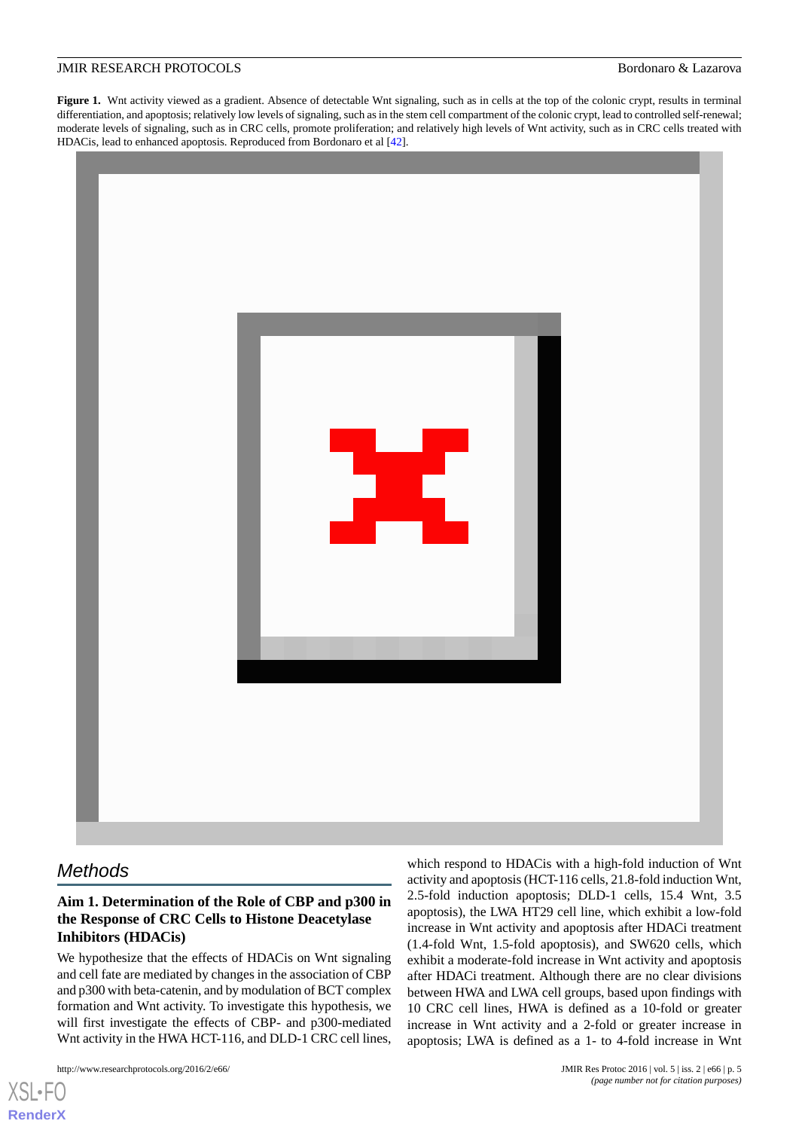<span id="page-4-0"></span>Figure 1. Wnt activity viewed as a gradient. Absence of detectable Wnt signaling, such as in cells at the top of the colonic crypt, results in terminal differentiation, and apoptosis; relatively low levels of signaling, such as in the stem cell compartment of the colonic crypt, lead to controlled self-renewal; moderate levels of signaling, such as in CRC cells, promote proliferation; and relatively high levels of Wnt activity, such as in CRC cells treated with HDACis, lead to enhanced apoptosis. Reproduced from Bordonaro et al [\[42\]](#page-15-17).



# *Methods*

[XSL](http://www.w3.org/Style/XSL)•FO **[RenderX](http://www.renderx.com/)**

# **Aim 1. Determination of the Role of CBP and p300 in the Response of CRC Cells to Histone Deacetylase Inhibitors (HDACis)**

We hypothesize that the effects of HDACis on Wnt signaling and cell fate are mediated by changes in the association of CBP and p300 with beta-catenin, and by modulation of BCT complex formation and Wnt activity. To investigate this hypothesis, we will first investigate the effects of CBP- and p300-mediated Wnt activity in the HWA HCT-116, and DLD-1 CRC cell lines,

http://www.researchprotocols.org/2016/2/e66/ JMIR Res Protoc 2016 | vol. 5 | iss. 2 | e66 | p. 5

which respond to HDACis with a high-fold induction of Wnt activity and apoptosis (HCT-116 cells, 21.8-fold induction Wnt, 2.5-fold induction apoptosis; DLD-1 cells, 15.4 Wnt, 3.5 apoptosis), the LWA HT29 cell line, which exhibit a low-fold increase in Wnt activity and apoptosis after HDACi treatment (1.4-fold Wnt, 1.5-fold apoptosis), and SW620 cells, which exhibit a moderate-fold increase in Wnt activity and apoptosis after HDACi treatment. Although there are no clear divisions between HWA and LWA cell groups, based upon findings with 10 CRC cell lines, HWA is defined as a 10-fold or greater increase in Wnt activity and a 2-fold or greater increase in apoptosis; LWA is defined as a 1- to 4-fold increase in Wnt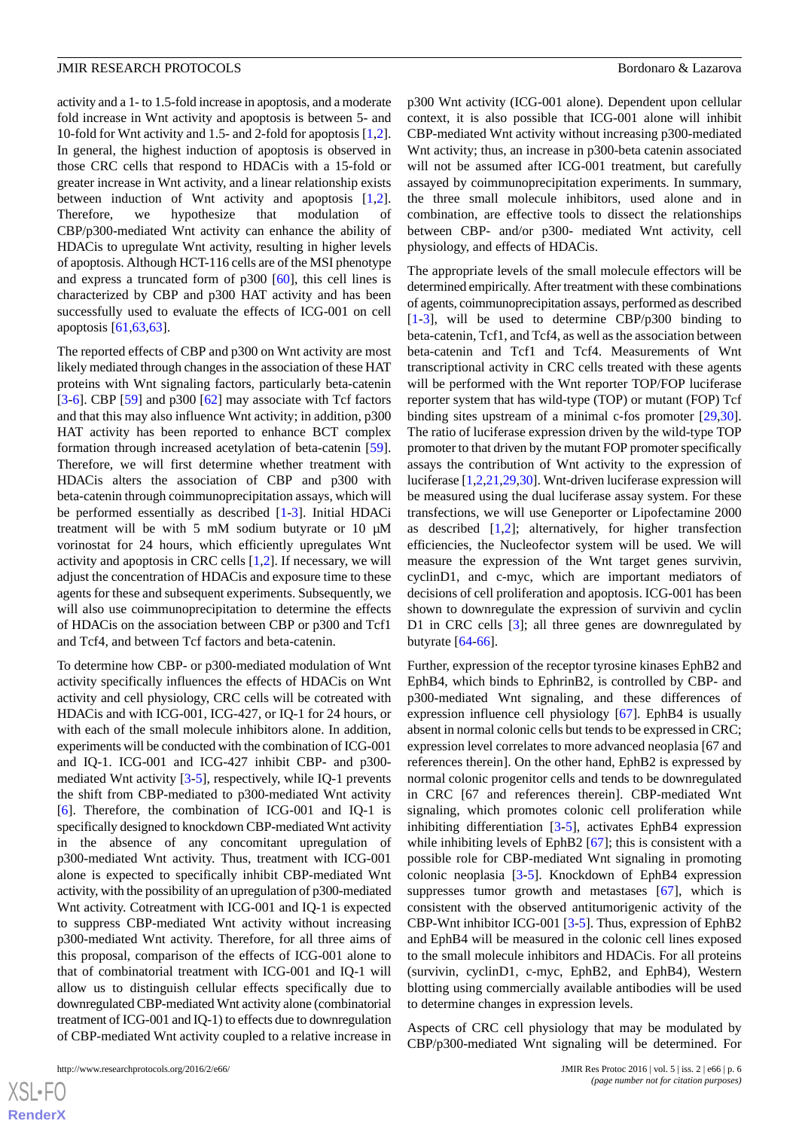activity and a 1- to 1.5-fold increase in apoptosis, and a moderate fold increase in Wnt activity and apoptosis is between 5- and 10-fold for Wnt activity and 1.5- and 2-fold for apoptosis [\[1](#page-14-0),[2\]](#page-14-11). In general, the highest induction of apoptosis is observed in those CRC cells that respond to HDACis with a 15-fold or greater increase in Wnt activity, and a linear relationship exists between induction of Wnt activity and apoptosis [\[1](#page-14-0),[2\]](#page-14-11). Therefore, we hypothesize that modulation of CBP/p300-mediated Wnt activity can enhance the ability of HDACis to upregulate Wnt activity, resulting in higher levels of apoptosis. Although HCT-116 cells are of the MSI phenotype and express a truncated form of p300 [\[60](#page-16-5)], this cell lines is characterized by CBP and p300 HAT activity and has been successfully used to evaluate the effects of ICG-001 on cell apoptosis [\[61](#page-16-7),[63,63](#page-16-8)].

The reported effects of CBP and p300 on Wnt activity are most likely mediated through changes in the association of these HAT proteins with Wnt signaling factors, particularly beta-catenin [[3](#page-14-12)[-6](#page-14-13)]. CBP [[59\]](#page-16-4) and p300 [\[62](#page-16-9)] may associate with Tcf factors and that this may also influence Wnt activity; in addition, p300 HAT activity has been reported to enhance BCT complex formation through increased acetylation of beta-catenin [[59\]](#page-16-4). Therefore, we will first determine whether treatment with HDACis alters the association of CBP and p300 with beta-catenin through coimmunoprecipitation assays, which will be performed essentially as described [\[1](#page-14-0)[-3](#page-14-12)]. Initial HDACi treatment will be with 5 mM sodium butyrate or 10 μM vorinostat for 24 hours, which efficiently upregulates Wnt activity and apoptosis in CRC cells [[1](#page-14-0)[,2](#page-14-11)]. If necessary, we will adjust the concentration of HDACis and exposure time to these agents for these and subsequent experiments. Subsequently, we will also use coimmunoprecipitation to determine the effects of HDACis on the association between CBP or p300 and Tcf1 and Tcf4, and between Tcf factors and beta-catenin.

To determine how CBP- or p300-mediated modulation of Wnt activity specifically influences the effects of HDACis on Wnt activity and cell physiology, CRC cells will be cotreated with HDACis and with ICG-001, ICG-427, or IQ-1 for 24 hours, or with each of the small molecule inhibitors alone. In addition, experiments will be conducted with the combination of ICG-001 and IQ-1. ICG-001 and ICG-427 inhibit CBP- and p300 mediated Wnt activity [[3](#page-14-12)-[5\]](#page-14-15), respectively, while IQ-1 prevents the shift from CBP-mediated to p300-mediated Wnt activity [[6\]](#page-14-13). Therefore, the combination of ICG-001 and IQ-1 is specifically designed to knockdown CBP-mediated Wnt activity in the absence of any concomitant upregulation of p300-mediated Wnt activity. Thus, treatment with ICG-001 alone is expected to specifically inhibit CBP-mediated Wnt activity, with the possibility of an upregulation of p300-mediated Wnt activity. Cotreatment with ICG-001 and IQ-1 is expected to suppress CBP-mediated Wnt activity without increasing p300-mediated Wnt activity. Therefore, for all three aims of this proposal, comparison of the effects of ICG-001 alone to that of combinatorial treatment with ICG-001 and IQ-1 will allow us to distinguish cellular effects specifically due to downregulated CBP-mediated Wnt activity alone (combinatorial treatment of ICG-001 and IQ-1) to effects due to downregulation of CBP-mediated Wnt activity coupled to a relative increase in

p300 Wnt activity (ICG-001 alone). Dependent upon cellular context, it is also possible that ICG-001 alone will inhibit CBP-mediated Wnt activity without increasing p300-mediated Wnt activity; thus, an increase in p300-beta catenin associated will not be assumed after ICG-001 treatment, but carefully assayed by coimmunoprecipitation experiments. In summary, the three small molecule inhibitors, used alone and in combination, are effective tools to dissect the relationships between CBP- and/or p300- mediated Wnt activity, cell physiology, and effects of HDACis.

The appropriate levels of the small molecule effectors will be determined empirically. After treatment with these combinations of agents, coimmunoprecipitation assays, performed as described [[1](#page-14-0)[-3](#page-14-12)], will be used to determine CBP/p300 binding to beta-catenin, Tcf1, and Tcf4, as well as the association between beta-catenin and Tcf1 and Tcf4. Measurements of Wnt transcriptional activity in CRC cells treated with these agents will be performed with the Wnt reporter TOP/FOP luciferase reporter system that has wild-type (TOP) or mutant (FOP) Tcf binding sites upstream of a minimal c-fos promoter [\[29](#page-15-5),[30\]](#page-15-6). The ratio of luciferase expression driven by the wild-type TOP promoter to that driven by the mutant FOP promoter specifically assays the contribution of Wnt activity to the expression of luciferase [[1](#page-14-0)[,2](#page-14-11)[,21](#page-14-9),[29](#page-15-5)[,30](#page-15-6)]. Wnt-driven luciferase expression will be measured using the dual luciferase assay system. For these transfections, we will use Geneporter or Lipofectamine 2000 as described  $[1,2]$  $[1,2]$  $[1,2]$ ; alternatively, for higher transfection efficiencies, the Nucleofector system will be used. We will measure the expression of the Wnt target genes survivin, cyclinD1, and c-myc, which are important mediators of decisions of cell proliferation and apoptosis. ICG-001 has been shown to downregulate the expression of survivin and cyclin D1 in CRC cells [\[3](#page-14-12)]; all three genes are downregulated by butyrate [\[64](#page-16-10)[-66](#page-16-11)].

Further, expression of the receptor tyrosine kinases EphB2 and EphB4, which binds to EphrinB2, is controlled by CBP- and p300-mediated Wnt signaling, and these differences of expression influence cell physiology [[67\]](#page-16-12). EphB4 is usually absent in normal colonic cells but tends to be expressed in CRC; expression level correlates to more advanced neoplasia [67 and references therein]. On the other hand, EphB2 is expressed by normal colonic progenitor cells and tends to be downregulated in CRC [67 and references therein]. CBP-mediated Wnt signaling, which promotes colonic cell proliferation while inhibiting differentiation [\[3](#page-14-12)-[5](#page-14-15)], activates EphB4 expression while inhibiting levels of EphB2 [\[67](#page-16-12)]; this is consistent with a possible role for CBP-mediated Wnt signaling in promoting colonic neoplasia [[3](#page-14-12)[-5](#page-14-15)]. Knockdown of EphB4 expression suppresses tumor growth and metastases [\[67](#page-16-12)], which is consistent with the observed antitumorigenic activity of the CBP-Wnt inhibitor ICG-001 [\[3](#page-14-12)-[5\]](#page-14-15). Thus, expression of EphB2 and EphB4 will be measured in the colonic cell lines exposed to the small molecule inhibitors and HDACis. For all proteins (survivin, cyclinD1, c-myc, EphB2, and EphB4), Western blotting using commercially available antibodies will be used to determine changes in expression levels.

Aspects of CRC cell physiology that may be modulated by CBP/p300-mediated Wnt signaling will be determined. For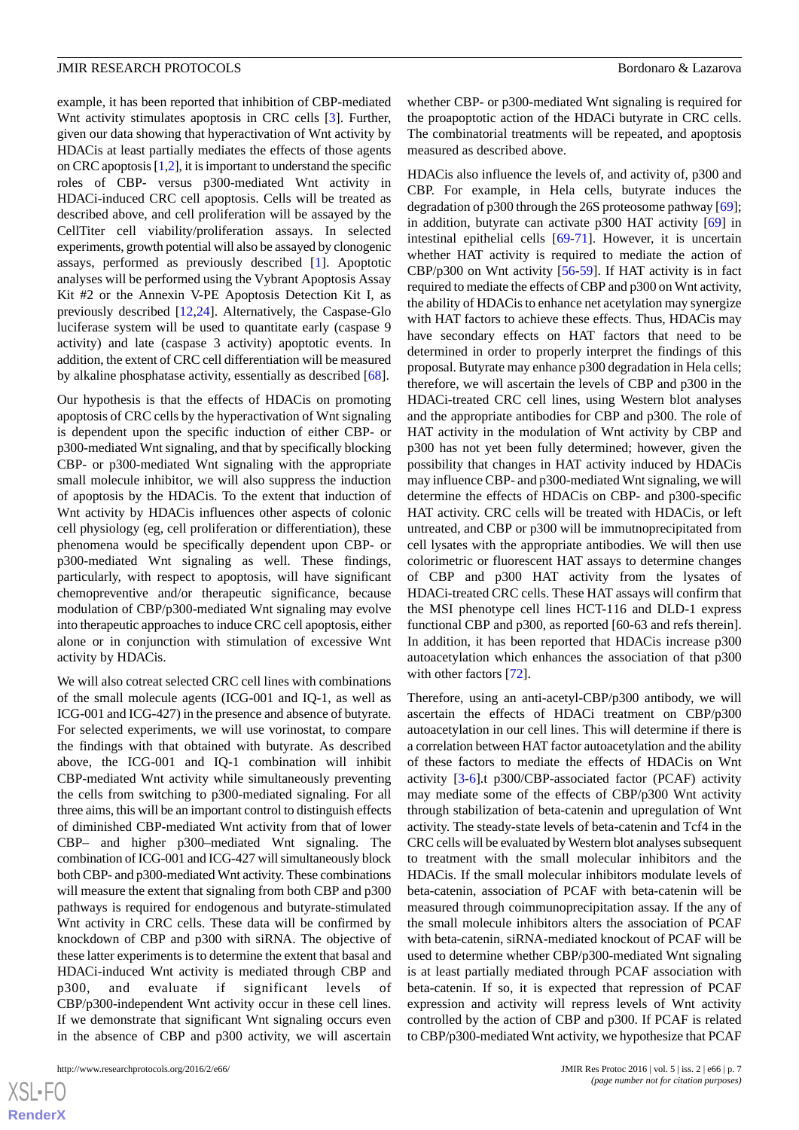example, it has been reported that inhibition of CBP-mediated Wnt activity stimulates apoptosis in CRC cells [\[3](#page-14-12)]. Further, given our data showing that hyperactivation of Wnt activity by HDACis at least partially mediates the effects of those agents on CRC apoptosis [\[1](#page-14-0)[,2](#page-14-11)], it is important to understand the specific roles of CBP- versus p300-mediated Wnt activity in HDACi-induced CRC cell apoptosis. Cells will be treated as described above, and cell proliferation will be assayed by the CellTiter cell viability/proliferation assays. In selected experiments, growth potential will also be assayed by clonogenic assays, performed as previously described [[1\]](#page-14-0). Apoptotic analyses will be performed using the Vybrant Apoptosis Assay Kit #2 or the Annexin V-PE Apoptosis Detection Kit I, as previously described [[12](#page-14-1)[,24](#page-15-1)]. Alternatively, the Caspase-Glo luciferase system will be used to quantitate early (caspase 9 activity) and late (caspase 3 activity) apoptotic events. In addition, the extent of CRC cell differentiation will be measured by alkaline phosphatase activity, essentially as described [\[68](#page-16-13)].

Our hypothesis is that the effects of HDACis on promoting apoptosis of CRC cells by the hyperactivation of Wnt signaling is dependent upon the specific induction of either CBP- or p300-mediated Wnt signaling, and that by specifically blocking CBP- or p300-mediated Wnt signaling with the appropriate small molecule inhibitor, we will also suppress the induction of apoptosis by the HDACis. To the extent that induction of Wnt activity by HDACis influences other aspects of colonic cell physiology (eg, cell proliferation or differentiation), these phenomena would be specifically dependent upon CBP- or p300-mediated Wnt signaling as well. These findings, particularly, with respect to apoptosis, will have significant chemopreventive and/or therapeutic significance, because modulation of CBP/p300-mediated Wnt signaling may evolve into therapeutic approaches to induce CRC cell apoptosis, either alone or in conjunction with stimulation of excessive Wnt activity by HDACis.

We will also cotreat selected CRC cell lines with combinations of the small molecule agents (ICG-001 and IQ-1, as well as ICG-001 and ICG-427) in the presence and absence of butyrate. For selected experiments, we will use vorinostat, to compare the findings with that obtained with butyrate. As described above, the ICG-001 and IQ-1 combination will inhibit CBP-mediated Wnt activity while simultaneously preventing the cells from switching to p300-mediated signaling. For all three aims, this will be an important control to distinguish effects of diminished CBP-mediated Wnt activity from that of lower CBP– and higher p300–mediated Wnt signaling. The combination of ICG-001 and ICG-427 will simultaneously block both CBP- and p300-mediated Wnt activity. These combinations will measure the extent that signaling from both CBP and p300 pathways is required for endogenous and butyrate-stimulated Wnt activity in CRC cells. These data will be confirmed by knockdown of CBP and p300 with siRNA. The objective of these latter experiments is to determine the extent that basal and HDACi-induced Wnt activity is mediated through CBP and p300, and evaluate if significant levels of CBP/p300-independent Wnt activity occur in these cell lines. If we demonstrate that significant Wnt signaling occurs even in the absence of CBP and p300 activity, we will ascertain

 $XSJ \cdot F$ **[RenderX](http://www.renderx.com/)** whether CBP- or p300-mediated Wnt signaling is required for the proapoptotic action of the HDACi butyrate in CRC cells. The combinatorial treatments will be repeated, and apoptosis measured as described above.

HDACis also influence the levels of, and activity of, p300 and CBP. For example, in Hela cells, butyrate induces the degradation of p300 through the 26S proteosome pathway [[69\]](#page-16-14); in addition, butyrate can activate p300 HAT activity [[69\]](#page-16-14) in intestinal epithelial cells [[69](#page-16-14)[-71](#page-16-15)]. However, it is uncertain whether HAT activity is required to mediate the action of CBP/p300 on Wnt activity [[56-](#page-16-3)[59](#page-16-4)]. If HAT activity is in fact required to mediate the effects of CBP and p300 on Wnt activity, the ability of HDACis to enhance net acetylation may synergize with HAT factors to achieve these effects. Thus, HDACis may have secondary effects on HAT factors that need to be determined in order to properly interpret the findings of this proposal. Butyrate may enhance p300 degradation in Hela cells; therefore, we will ascertain the levels of CBP and p300 in the HDACi-treated CRC cell lines, using Western blot analyses and the appropriate antibodies for CBP and p300. The role of HAT activity in the modulation of Wnt activity by CBP and p300 has not yet been fully determined; however, given the possibility that changes in HAT activity induced by HDACis may influence CBP- and p300-mediated Wnt signaling, we will determine the effects of HDACis on CBP- and p300-specific HAT activity. CRC cells will be treated with HDACis, or left untreated, and CBP or p300 will be immutnoprecipitated from cell lysates with the appropriate antibodies. We will then use colorimetric or fluorescent HAT assays to determine changes of CBP and p300 HAT activity from the lysates of HDACi-treated CRC cells. These HAT assays will confirm that the MSI phenotype cell lines HCT-116 and DLD-1 express functional CBP and p300, as reported [60-63 and refs therein]. In addition, it has been reported that HDACis increase p300 autoacetylation which enhances the association of that p300 with other factors [[72\]](#page-17-0).

Therefore, using an anti-acetyl-CBP/p300 antibody, we will ascertain the effects of HDACi treatment on CBP/p300 autoacetylation in our cell lines. This will determine if there is a correlation between HAT factor autoacetylation and the ability of these factors to mediate the effects of HDACis on Wnt activity [\[3](#page-14-12)-[6\]](#page-14-13).t p300/CBP-associated factor (PCAF) activity may mediate some of the effects of CBP/p300 Wnt activity through stabilization of beta-catenin and upregulation of Wnt activity. The steady-state levels of beta-catenin and Tcf4 in the CRC cells will be evaluated by Western blot analyses subsequent to treatment with the small molecular inhibitors and the HDACis. If the small molecular inhibitors modulate levels of beta-catenin, association of PCAF with beta-catenin will be measured through coimmunoprecipitation assay. If the any of the small molecule inhibitors alters the association of PCAF with beta-catenin, siRNA-mediated knockout of PCAF will be used to determine whether CBP/p300-mediated Wnt signaling is at least partially mediated through PCAF association with beta-catenin. If so, it is expected that repression of PCAF expression and activity will repress levels of Wnt activity controlled by the action of CBP and p300. If PCAF is related to CBP/p300-mediated Wnt activity, we hypothesize that PCAF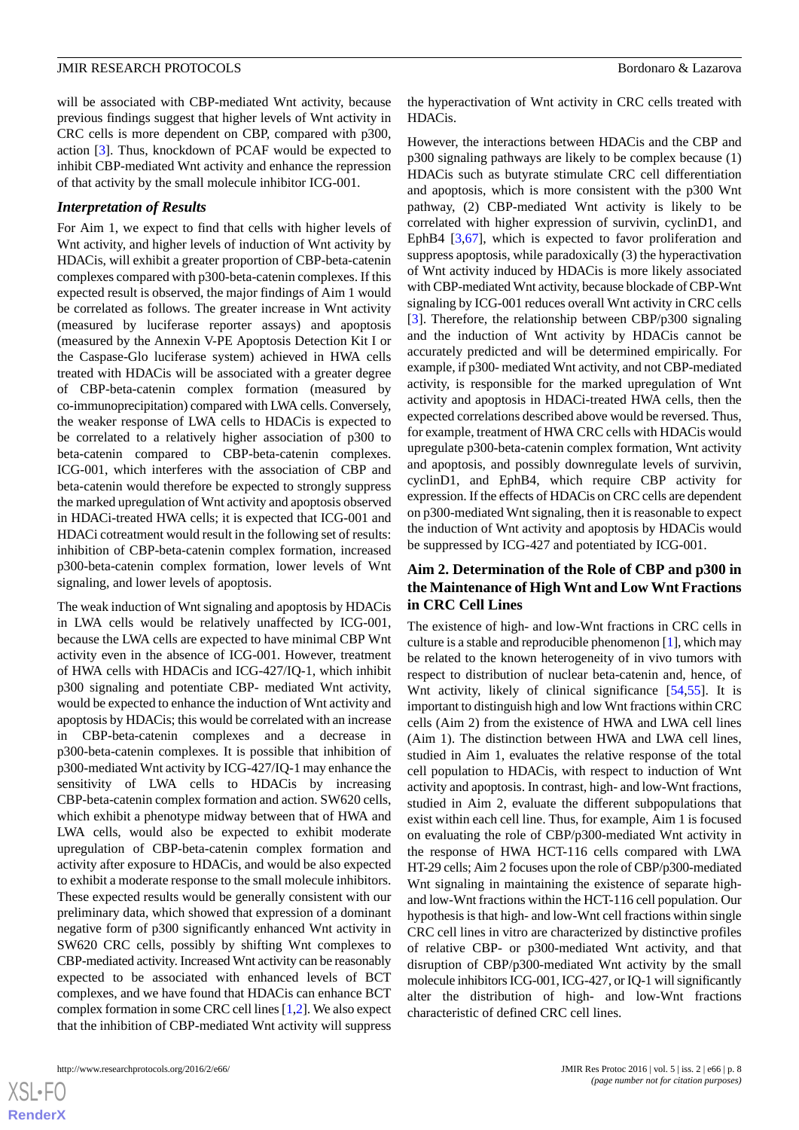will be associated with CBP-mediated Wnt activity, because previous findings suggest that higher levels of Wnt activity in CRC cells is more dependent on CBP, compared with p300, action [[3\]](#page-14-12). Thus, knockdown of PCAF would be expected to inhibit CBP-mediated Wnt activity and enhance the repression of that activity by the small molecule inhibitor ICG-001.

#### *Interpretation of Results*

For Aim 1, we expect to find that cells with higher levels of Wnt activity, and higher levels of induction of Wnt activity by HDACis, will exhibit a greater proportion of CBP-beta-catenin complexes compared with p300-beta-catenin complexes. If this expected result is observed, the major findings of Aim 1 would be correlated as follows. The greater increase in Wnt activity (measured by luciferase reporter assays) and apoptosis (measured by the Annexin V-PE Apoptosis Detection Kit I or the Caspase-Glo luciferase system) achieved in HWA cells treated with HDACis will be associated with a greater degree of CBP-beta-catenin complex formation (measured by co-immunoprecipitation) compared with LWA cells. Conversely, the weaker response of LWA cells to HDACis is expected to be correlated to a relatively higher association of p300 to beta-catenin compared to CBP-beta-catenin complexes. ICG-001, which interferes with the association of CBP and beta-catenin would therefore be expected to strongly suppress the marked upregulation of Wnt activity and apoptosis observed in HDACi-treated HWA cells; it is expected that ICG-001 and HDACi cotreatment would result in the following set of results: inhibition of CBP-beta-catenin complex formation, increased p300-beta-catenin complex formation, lower levels of Wnt signaling, and lower levels of apoptosis.

The weak induction of Wnt signaling and apoptosis by HDACis in LWA cells would be relatively unaffected by ICG-001, because the LWA cells are expected to have minimal CBP Wnt activity even in the absence of ICG-001. However, treatment of HWA cells with HDACis and ICG-427/IQ-1, which inhibit p300 signaling and potentiate CBP- mediated Wnt activity, would be expected to enhance the induction of Wnt activity and apoptosis by HDACis; this would be correlated with an increase in CBP-beta-catenin complexes and a decrease in p300-beta-catenin complexes. It is possible that inhibition of p300-mediated Wnt activity by ICG-427/IQ-1 may enhance the sensitivity of LWA cells to HDACis by increasing CBP-beta-catenin complex formation and action. SW620 cells, which exhibit a phenotype midway between that of HWA and LWA cells, would also be expected to exhibit moderate upregulation of CBP-beta-catenin complex formation and activity after exposure to HDACis, and would be also expected to exhibit a moderate response to the small molecule inhibitors. These expected results would be generally consistent with our preliminary data, which showed that expression of a dominant negative form of p300 significantly enhanced Wnt activity in SW620 CRC cells, possibly by shifting Wnt complexes to CBP-mediated activity. Increased Wnt activity can be reasonably expected to be associated with enhanced levels of BCT complexes, and we have found that HDACis can enhance BCT complex formation in some CRC cell lines [\[1](#page-14-0),[2\]](#page-14-11). We also expect that the inhibition of CBP-mediated Wnt activity will suppress

the hyperactivation of Wnt activity in CRC cells treated with HDACis.

However, the interactions between HDACis and the CBP and p300 signaling pathways are likely to be complex because (1) HDACis such as butyrate stimulate CRC cell differentiation and apoptosis, which is more consistent with the p300 Wnt pathway, (2) CBP-mediated Wnt activity is likely to be correlated with higher expression of survivin, cyclinD1, and EphB4 [\[3](#page-14-12),[67\]](#page-16-12), which is expected to favor proliferation and suppress apoptosis, while paradoxically (3) the hyperactivation of Wnt activity induced by HDACis is more likely associated with CBP-mediated Wnt activity, because blockade of CBP-Wnt signaling by ICG-001 reduces overall Wnt activity in CRC cells [[3\]](#page-14-12). Therefore, the relationship between CBP/p300 signaling and the induction of Wnt activity by HDACis cannot be accurately predicted and will be determined empirically. For example, if p300- mediated Wnt activity, and not CBP-mediated activity, is responsible for the marked upregulation of Wnt activity and apoptosis in HDACi-treated HWA cells, then the expected correlations described above would be reversed. Thus, for example, treatment of HWA CRC cells with HDACis would upregulate p300-beta-catenin complex formation, Wnt activity and apoptosis, and possibly downregulate levels of survivin, cyclinD1, and EphB4, which require CBP activity for expression. If the effects of HDACis on CRC cells are dependent on p300-mediated Wnt signaling, then it is reasonable to expect the induction of Wnt activity and apoptosis by HDACis would be suppressed by ICG-427 and potentiated by ICG-001.

# **Aim 2. Determination of the Role of CBP and p300 in the Maintenance of High Wnt and Low Wnt Fractions in CRC Cell Lines**

The existence of high- and low-Wnt fractions in CRC cells in culture is a stable and reproducible phenomenon [\[1\]](#page-14-0), which may be related to the known heterogeneity of in vivo tumors with respect to distribution of nuclear beta-catenin and, hence, of Wnt activity, likely of clinical significance [[54](#page-16-16)[,55](#page-16-0)]. It is important to distinguish high and low Wnt fractions within CRC cells (Aim 2) from the existence of HWA and LWA cell lines (Aim 1). The distinction between HWA and LWA cell lines, studied in Aim 1, evaluates the relative response of the total cell population to HDACis, with respect to induction of Wnt activity and apoptosis. In contrast, high- and low-Wnt fractions, studied in Aim 2, evaluate the different subpopulations that exist within each cell line. Thus, for example, Aim 1 is focused on evaluating the role of CBP/p300-mediated Wnt activity in the response of HWA HCT-116 cells compared with LWA HT-29 cells; Aim 2 focuses upon the role of CBP/p300-mediated Wnt signaling in maintaining the existence of separate highand low-Wnt fractions within the HCT-116 cell population. Our hypothesis is that high- and low-Wnt cell fractions within single CRC cell lines in vitro are characterized by distinctive profiles of relative CBP- or p300-mediated Wnt activity, and that disruption of CBP/p300-mediated Wnt activity by the small molecule inhibitors ICG-001, ICG-427, or IQ-1 will significantly alter the distribution of high- and low-Wnt fractions characteristic of defined CRC cell lines.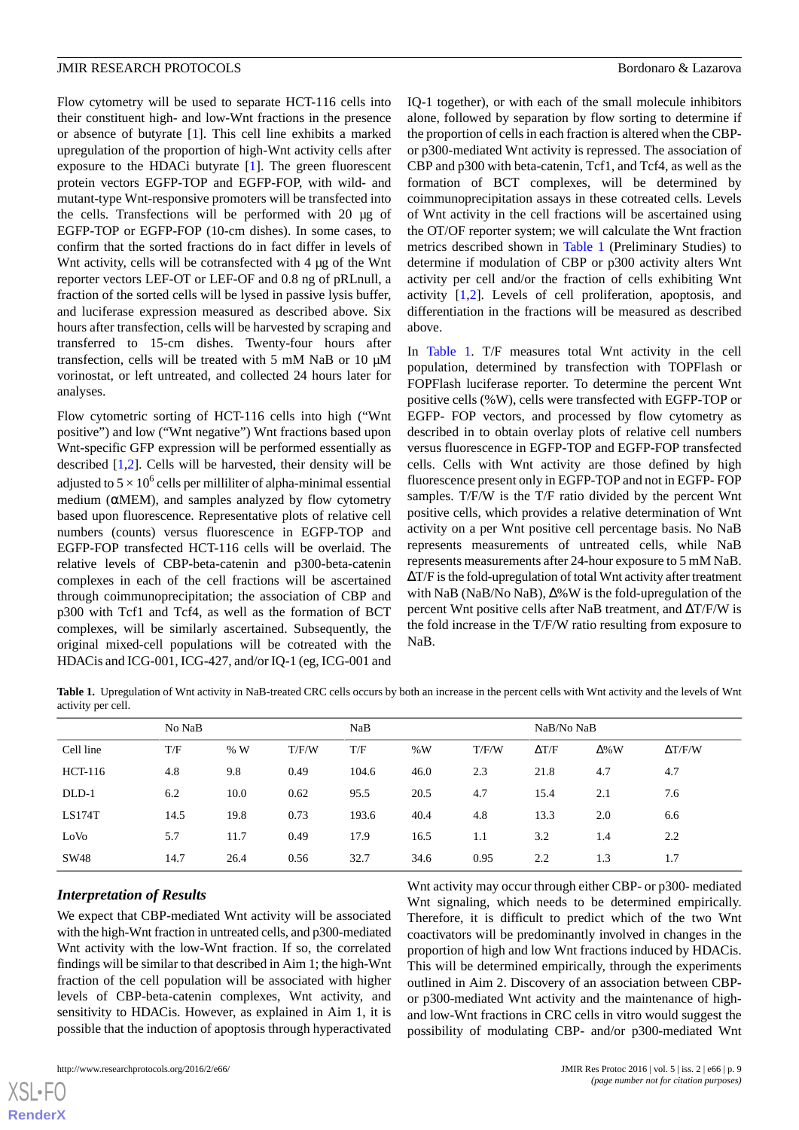Flow cytometry will be used to separate HCT-116 cells into their constituent high- and low-Wnt fractions in the presence or absence of butyrate [\[1](#page-14-0)]. This cell line exhibits a marked upregulation of the proportion of high-Wnt activity cells after exposure to the HDACi butyrate [[1\]](#page-14-0). The green fluorescent protein vectors EGFP-TOP and EGFP-FOP, with wild- and mutant-type Wnt-responsive promoters will be transfected into the cells. Transfections will be performed with 20 μg of EGFP-TOP or EGFP-FOP (10-cm dishes). In some cases, to confirm that the sorted fractions do in fact differ in levels of Wnt activity, cells will be cotransfected with 4 μg of the Wnt reporter vectors LEF-OT or LEF-OF and 0.8 ng of pRLnull, a fraction of the sorted cells will be lysed in passive lysis buffer, and luciferase expression measured as described above. Six hours after transfection, cells will be harvested by scraping and transferred to 15-cm dishes. Twenty-four hours after transfection, cells will be treated with 5 mM NaB or 10 μM vorinostat, or left untreated, and collected 24 hours later for analyses.

Flow cytometric sorting of HCT-116 cells into high ("Wnt positive") and low ("Wnt negative") Wnt fractions based upon Wnt-specific GFP expression will be performed essentially as described [[1,](#page-14-0)[2](#page-14-11)]. Cells will be harvested, their density will be adjusted to 5  $\times$  10<sup>6</sup> cells per milliliter of alpha-minimal essential medium ( $\alpha$ MEM), and samples analyzed by flow cytometry based upon fluorescence. Representative plots of relative cell numbers (counts) versus fluorescence in EGFP-TOP and EGFP-FOP transfected HCT-116 cells will be overlaid. The relative levels of CBP-beta-catenin and p300-beta-catenin complexes in each of the cell fractions will be ascertained through coimmunoprecipitation; the association of CBP and p300 with Tcf1 and Tcf4, as well as the formation of BCT complexes, will be similarly ascertained. Subsequently, the original mixed-cell populations will be cotreated with the HDACis and ICG-001, ICG-427, and/or IQ-1 (eg, ICG-001 and

IQ-1 together), or with each of the small molecule inhibitors alone, followed by separation by flow sorting to determine if the proportion of cells in each fraction is altered when the CBPor p300-mediated Wnt activity is repressed. The association of CBP and p300 with beta-catenin, Tcf1, and Tcf4, as well as the formation of BCT complexes, will be determined by coimmunoprecipitation assays in these cotreated cells. Levels of Wnt activity in the cell fractions will be ascertained using the OT/OF reporter system; we will calculate the Wnt fraction metrics described shown in [Table 1](#page-8-0) (Preliminary Studies) to determine if modulation of CBP or p300 activity alters Wnt activity per cell and/or the fraction of cells exhibiting Wnt activity [[1,](#page-14-0)[2](#page-14-11)]. Levels of cell proliferation, apoptosis, and differentiation in the fractions will be measured as described above.

In [Table 1](#page-8-0). T/F measures total Wnt activity in the cell population, determined by transfection with TOPFlash or FOPFlash luciferase reporter. To determine the percent Wnt positive cells (%W), cells were transfected with EGFP-TOP or EGFP- FOP vectors, and processed by flow cytometry as described in to obtain overlay plots of relative cell numbers versus fluorescence in EGFP-TOP and EGFP-FOP transfected cells. Cells with Wnt activity are those defined by high fluorescence present only in EGFP-TOP and not in EGFP- FOP samples. T/F/W is the T/F ratio divided by the percent Wnt positive cells, which provides a relative determination of Wnt activity on a per Wnt positive cell percentage basis. No NaB represents measurements of untreated cells, while NaB represents measurements after 24-hour exposure to 5 mM NaB. ΔT/F is the fold-upregulation of total Wnt activity after treatment with NaB (NaB/No NaB), Δ%W is the fold-upregulation of the percent Wnt positive cells after NaB treatment, and ΔT/F/W is the fold increase in the T/F/W ratio resulting from exposure to NaB.

<span id="page-8-0"></span>**Table 1.** Upregulation of Wnt activity in NaB-treated CRC cells occurs by both an increase in the percent cells with Wnt activity and the levels of Wnt activity per cell.

|           | No NaB |      |       | NaB   |      |       | NaB/No NaB   |              |                |
|-----------|--------|------|-------|-------|------|-------|--------------|--------------|----------------|
| Cell line | T/F    | %W   | T/F/W | T/F   | %W   | T/F/W | $\Delta T/F$ | $\Delta\%$ W | $\Delta T/F/W$ |
| HCT-116   | 4.8    | 9.8  | 0.49  | 104.6 | 46.0 | 2.3   | 21.8         | 4.7          | 4.7            |
| DLD-1     | 6.2    | 10.0 | 0.62  | 95.5  | 20.5 | 4.7   | 15.4         | 2.1          | 7.6            |
| LS174T    | 14.5   | 19.8 | 0.73  | 193.6 | 40.4 | 4.8   | 13.3         | 2.0          | 6.6            |
| LoVo      | 5.7    | 11.7 | 0.49  | 17.9  | 16.5 | 1.1   | 3.2          | 1.4          | 2.2            |
| SW48      | 14.7   | 26.4 | 0.56  | 32.7  | 34.6 | 0.95  | 2.2          | 1.3          | 1.7            |
|           |        |      |       |       |      |       |              |              |                |

#### *Interpretation of Results*

We expect that CBP-mediated Wnt activity will be associated with the high-Wnt fraction in untreated cells, and p300-mediated Wnt activity with the low-Wnt fraction. If so, the correlated findings will be similar to that described in Aim 1; the high-Wnt fraction of the cell population will be associated with higher levels of CBP-beta-catenin complexes, Wnt activity, and sensitivity to HDACis. However, as explained in Aim 1, it is possible that the induction of apoptosis through hyperactivated

Wnt activity may occur through either CBP- or p300- mediated Wnt signaling, which needs to be determined empirically. Therefore, it is difficult to predict which of the two Wnt coactivators will be predominantly involved in changes in the proportion of high and low Wnt fractions induced by HDACis. This will be determined empirically, through the experiments outlined in Aim 2. Discovery of an association between CBPor p300-mediated Wnt activity and the maintenance of highand low-Wnt fractions in CRC cells in vitro would suggest the possibility of modulating CBP- and/or p300-mediated Wnt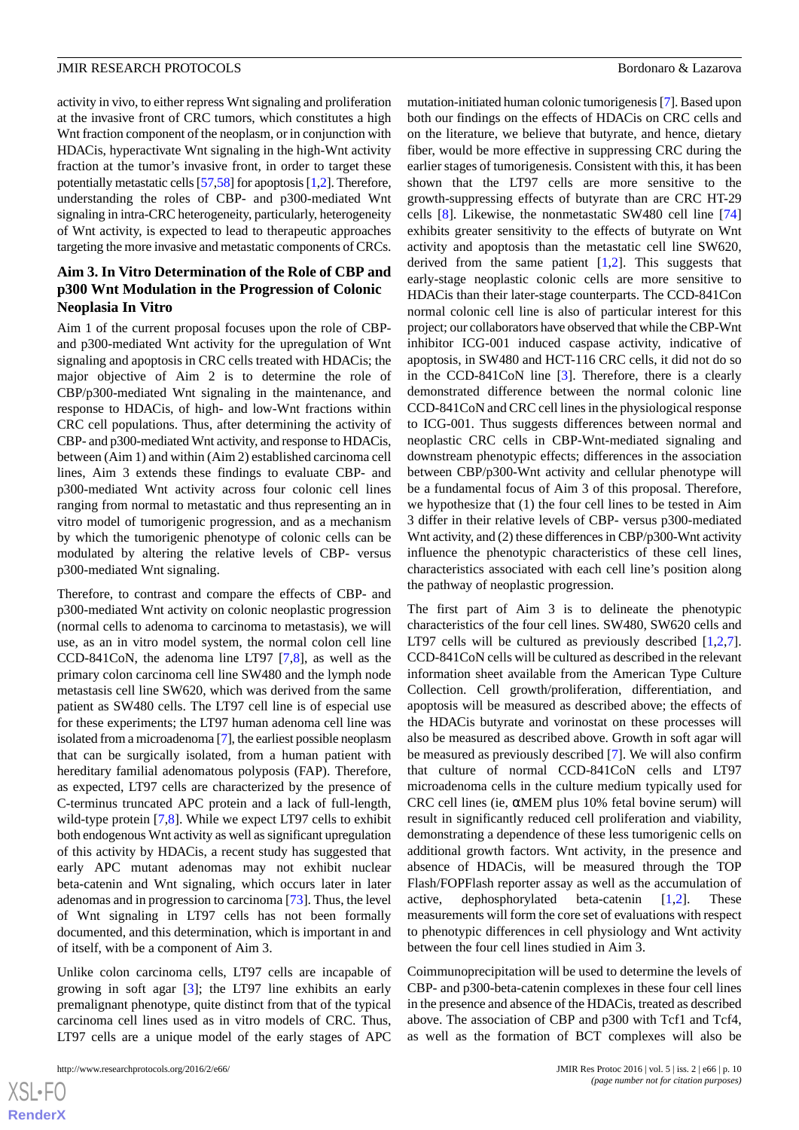activity in vivo, to either repress Wnt signaling and proliferation at the invasive front of CRC tumors, which constitutes a high Wnt fraction component of the neoplasm, or in conjunction with HDACis, hyperactivate Wnt signaling in the high-Wnt activity fraction at the tumor's invasive front, in order to target these potentially metastatic cells [[57](#page-16-17),[58\]](#page-16-6) for apoptosis [\[1](#page-14-0),[2\]](#page-14-11). Therefore, understanding the roles of CBP- and p300-mediated Wnt signaling in intra-CRC heterogeneity, particularly, heterogeneity of Wnt activity, is expected to lead to therapeutic approaches targeting the more invasive and metastatic components of CRCs.

### **Aim 3. In Vitro Determination of the Role of CBP and p300 Wnt Modulation in the Progression of Colonic Neoplasia In Vitro**

Aim 1 of the current proposal focuses upon the role of CBPand p300-mediated Wnt activity for the upregulation of Wnt signaling and apoptosis in CRC cells treated with HDACis; the major objective of Aim 2 is to determine the role of CBP/p300-mediated Wnt signaling in the maintenance, and response to HDACis, of high- and low-Wnt fractions within CRC cell populations. Thus, after determining the activity of CBP- and p300-mediated Wnt activity, and response to HDACis, between (Aim 1) and within (Aim 2) established carcinoma cell lines, Aim 3 extends these findings to evaluate CBP- and p300-mediated Wnt activity across four colonic cell lines ranging from normal to metastatic and thus representing an in vitro model of tumorigenic progression, and as a mechanism by which the tumorigenic phenotype of colonic cells can be modulated by altering the relative levels of CBP- versus p300-mediated Wnt signaling.

Therefore, to contrast and compare the effects of CBP- and p300-mediated Wnt activity on colonic neoplastic progression (normal cells to adenoma to carcinoma to metastasis), we will use, as an in vitro model system, the normal colon cell line CCD-841CoN, the adenoma line LT97 [\[7](#page-14-16)[,8\]](#page-14-17), as well as the primary colon carcinoma cell line SW480 and the lymph node metastasis cell line SW620, which was derived from the same patient as SW480 cells. The LT97 cell line is of especial use for these experiments; the LT97 human adenoma cell line was isolated from a microadenoma [[7\]](#page-14-16), the earliest possible neoplasm that can be surgically isolated, from a human patient with hereditary familial adenomatous polyposis (FAP). Therefore, as expected, LT97 cells are characterized by the presence of C-terminus truncated APC protein and a lack of full-length, wild-type protein [[7](#page-14-16)[,8](#page-14-17)]. While we expect LT97 cells to exhibit both endogenous Wnt activity as well as significant upregulation of this activity by HDACis, a recent study has suggested that early APC mutant adenomas may not exhibit nuclear beta-catenin and Wnt signaling, which occurs later in later adenomas and in progression to carcinoma [\[73](#page-17-1)]. Thus, the level of Wnt signaling in LT97 cells has not been formally documented, and this determination, which is important in and of itself, with be a component of Aim 3.

Unlike colon carcinoma cells, LT97 cells are incapable of growing in soft agar [[3\]](#page-14-12); the LT97 line exhibits an early premalignant phenotype, quite distinct from that of the typical carcinoma cell lines used as in vitro models of CRC. Thus, LT97 cells are a unique model of the early stages of APC

```
http://www.researchprotocols.org/2016/2/e66/ JMIR Res Protoc 2016 | vol. 5 | iss. 2 | e66 | p. 10
```
mutation-initiated human colonic tumorigenesis [[7\]](#page-14-16). Based upon both our findings on the effects of HDACis on CRC cells and on the literature, we believe that butyrate, and hence, dietary fiber, would be more effective in suppressing CRC during the earlier stages of tumorigenesis. Consistent with this, it has been shown that the LT97 cells are more sensitive to the growth-suppressing effects of butyrate than are CRC HT-29 cells [[8](#page-14-17)]. Likewise, the nonmetastatic SW480 cell line [\[74](#page-17-2)] exhibits greater sensitivity to the effects of butyrate on Wnt activity and apoptosis than the metastatic cell line SW620, derived from the same patient  $[1,2]$  $[1,2]$  $[1,2]$ . This suggests that early-stage neoplastic colonic cells are more sensitive to HDACis than their later-stage counterparts. The CCD-841Con normal colonic cell line is also of particular interest for this project; our collaborators have observed that while the CBP-Wnt inhibitor ICG-001 induced caspase activity, indicative of apoptosis, in SW480 and HCT-116 CRC cells, it did not do so in the CCD-841CoN line [\[3](#page-14-12)]. Therefore, there is a clearly demonstrated difference between the normal colonic line CCD-841CoN and CRC cell lines in the physiological response to ICG-001. Thus suggests differences between normal and neoplastic CRC cells in CBP-Wnt-mediated signaling and downstream phenotypic effects; differences in the association between CBP/p300-Wnt activity and cellular phenotype will be a fundamental focus of Aim 3 of this proposal. Therefore, we hypothesize that (1) the four cell lines to be tested in Aim 3 differ in their relative levels of CBP- versus p300-mediated Wnt activity, and (2) these differences in CBP/p300-Wnt activity influence the phenotypic characteristics of these cell lines, characteristics associated with each cell line's position along the pathway of neoplastic progression.

The first part of Aim 3 is to delineate the phenotypic characteristics of the four cell lines. SW480, SW620 cells and LT97 cells will be cultured as previously described [[1](#page-14-0)[,2](#page-14-11),[7\]](#page-14-16). CCD-841CoN cells will be cultured as described in the relevant information sheet available from the American Type Culture Collection. Cell growth/proliferation, differentiation, and apoptosis will be measured as described above; the effects of the HDACis butyrate and vorinostat on these processes will also be measured as described above. Growth in soft agar will be measured as previously described [[7\]](#page-14-16). We will also confirm that culture of normal CCD-841CoN cells and LT97 microadenoma cells in the culture medium typically used for CRC cell lines (ie, αMEM plus 10% fetal bovine serum) will result in significantly reduced cell proliferation and viability, demonstrating a dependence of these less tumorigenic cells on additional growth factors. Wnt activity, in the presence and absence of HDACis, will be measured through the TOP Flash/FOPFlash reporter assay as well as the accumulation of active, dephosphorylated beta-catenin [\[1](#page-14-0),[2\]](#page-14-11). These measurements will form the core set of evaluations with respect to phenotypic differences in cell physiology and Wnt activity between the four cell lines studied in Aim 3.

Coimmunoprecipitation will be used to determine the levels of CBP- and p300-beta-catenin complexes in these four cell lines in the presence and absence of the HDACis, treated as described above. The association of CBP and p300 with Tcf1 and Tcf4, as well as the formation of BCT complexes will also be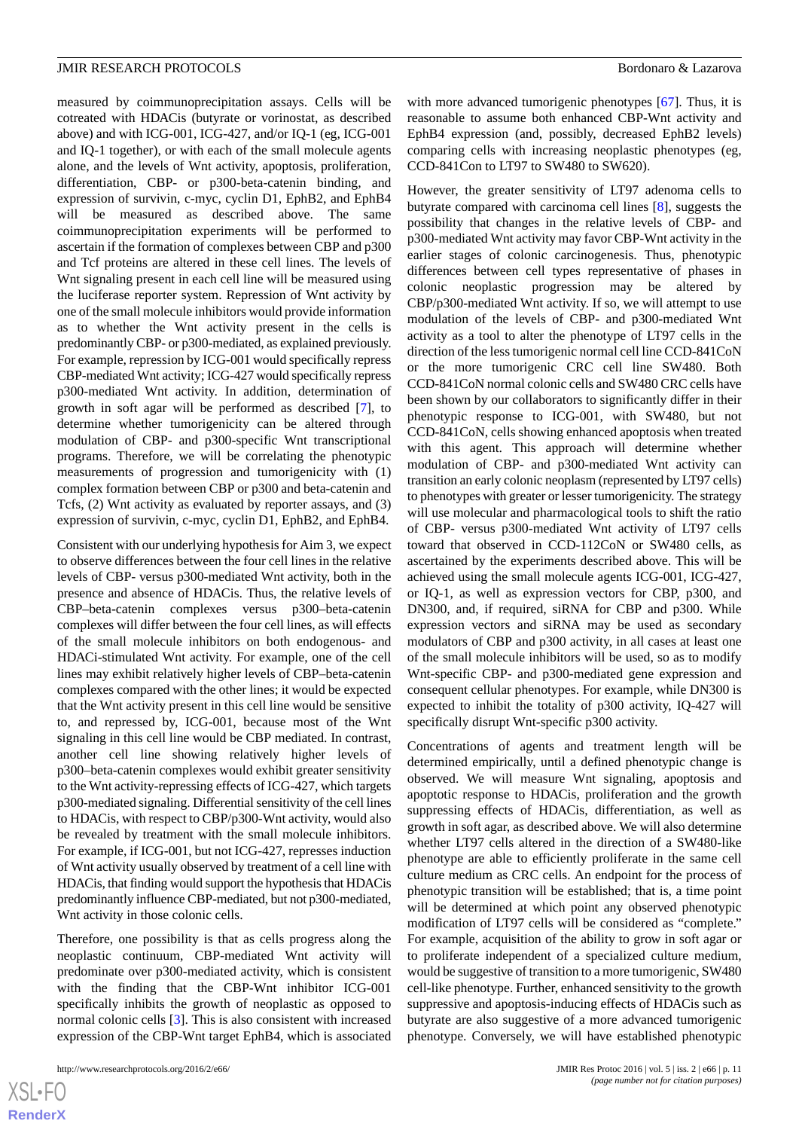with more advanced tumorigenic phenotypes [[67\]](#page-16-12). Thus, it is reasonable to assume both enhanced CBP-Wnt activity and EphB4 expression (and, possibly, decreased EphB2 levels)

CCD-841Con to LT97 to SW480 to SW620).

comparing cells with increasing neoplastic phenotypes (eg,

cotreated with HDACis (butyrate or vorinostat, as described above) and with ICG-001, ICG-427, and/or IQ-1 (eg, ICG-001 and IQ-1 together), or with each of the small molecule agents alone, and the levels of Wnt activity, apoptosis, proliferation, differentiation, CBP- or p300-beta-catenin binding, and expression of survivin, c-myc, cyclin D1, EphB2, and EphB4 will be measured as described above. The same coimmunoprecipitation experiments will be performed to ascertain if the formation of complexes between CBP and p300 and Tcf proteins are altered in these cell lines. The levels of Wnt signaling present in each cell line will be measured using the luciferase reporter system. Repression of Wnt activity by one of the small molecule inhibitors would provide information as to whether the Wnt activity present in the cells is predominantly CBP- or p300-mediated, as explained previously. For example, repression by ICG-001 would specifically repress CBP-mediated Wnt activity; ICG-427 would specifically repress p300-mediated Wnt activity. In addition, determination of growth in soft agar will be performed as described [\[7](#page-14-16)], to determine whether tumorigenicity can be altered through modulation of CBP- and p300-specific Wnt transcriptional programs. Therefore, we will be correlating the phenotypic measurements of progression and tumorigenicity with (1) complex formation between CBP or p300 and beta-catenin and Tcfs, (2) Wnt activity as evaluated by reporter assays, and (3) expression of survivin, c-myc, cyclin D1, EphB2, and EphB4.

measured by coimmunoprecipitation assays. Cells will be

Consistent with our underlying hypothesis for Aim 3, we expect to observe differences between the four cell lines in the relative levels of CBP- versus p300-mediated Wnt activity, both in the presence and absence of HDACis. Thus, the relative levels of CBP–beta-catenin complexes versus p300–beta-catenin complexes will differ between the four cell lines, as will effects of the small molecule inhibitors on both endogenous- and HDACi-stimulated Wnt activity. For example, one of the cell lines may exhibit relatively higher levels of CBP–beta-catenin complexes compared with the other lines; it would be expected that the Wnt activity present in this cell line would be sensitive to, and repressed by, ICG-001, because most of the Wnt signaling in this cell line would be CBP mediated. In contrast, another cell line showing relatively higher levels of p300–beta-catenin complexes would exhibit greater sensitivity to the Wnt activity-repressing effects of ICG-427, which targets p300-mediated signaling. Differential sensitivity of the cell lines to HDACis, with respect to CBP/p300-Wnt activity, would also be revealed by treatment with the small molecule inhibitors. For example, if ICG-001, but not ICG-427, represses induction of Wnt activity usually observed by treatment of a cell line with HDACis, that finding would support the hypothesis that HDACis predominantly influence CBP-mediated, but not p300-mediated, Wnt activity in those colonic cells.

Therefore, one possibility is that as cells progress along the neoplastic continuum, CBP-mediated Wnt activity will predominate over p300-mediated activity, which is consistent with the finding that the CBP-Wnt inhibitor ICG-001 specifically inhibits the growth of neoplastic as opposed to normal colonic cells [[3](#page-14-12)]. This is also consistent with increased expression of the CBP-Wnt target EphB4, which is associated

However, the greater sensitivity of LT97 adenoma cells to butyrate compared with carcinoma cell lines [[8\]](#page-14-17), suggests the possibility that changes in the relative levels of CBP- and p300-mediated Wnt activity may favor CBP-Wnt activity in the earlier stages of colonic carcinogenesis. Thus, phenotypic differences between cell types representative of phases in colonic neoplastic progression may be altered by CBP/p300-mediated Wnt activity. If so, we will attempt to use modulation of the levels of CBP- and p300-mediated Wnt activity as a tool to alter the phenotype of LT97 cells in the direction of the less tumorigenic normal cell line CCD-841CoN or the more tumorigenic CRC cell line SW480. Both CCD-841CoN normal colonic cells and SW480 CRC cells have been shown by our collaborators to significantly differ in their phenotypic response to ICG-001, with SW480, but not CCD-841CoN, cells showing enhanced apoptosis when treated with this agent. This approach will determine whether modulation of CBP- and p300-mediated Wnt activity can transition an early colonic neoplasm (represented by LT97 cells) to phenotypes with greater or lesser tumorigenicity. The strategy will use molecular and pharmacological tools to shift the ratio of CBP- versus p300-mediated Wnt activity of LT97 cells toward that observed in CCD-112CoN or SW480 cells, as ascertained by the experiments described above. This will be achieved using the small molecule agents ICG-001, ICG-427, or IQ-1, as well as expression vectors for CBP, p300, and DN300, and, if required, siRNA for CBP and p300. While expression vectors and siRNA may be used as secondary modulators of CBP and p300 activity, in all cases at least one of the small molecule inhibitors will be used, so as to modify Wnt-specific CBP- and p300-mediated gene expression and consequent cellular phenotypes. For example, while DN300 is expected to inhibit the totality of p300 activity, IQ-427 will specifically disrupt Wnt-specific p300 activity.

Concentrations of agents and treatment length will be determined empirically, until a defined phenotypic change is observed. We will measure Wnt signaling, apoptosis and apoptotic response to HDACis, proliferation and the growth suppressing effects of HDACis, differentiation, as well as growth in soft agar, as described above. We will also determine whether LT97 cells altered in the direction of a SW480-like phenotype are able to efficiently proliferate in the same cell culture medium as CRC cells. An endpoint for the process of phenotypic transition will be established; that is, a time point will be determined at which point any observed phenotypic modification of LT97 cells will be considered as "complete." For example, acquisition of the ability to grow in soft agar or to proliferate independent of a specialized culture medium, would be suggestive of transition to a more tumorigenic, SW480 cell-like phenotype. Further, enhanced sensitivity to the growth suppressive and apoptosis-inducing effects of HDACis such as butyrate are also suggestive of a more advanced tumorigenic phenotype. Conversely, we will have established phenotypic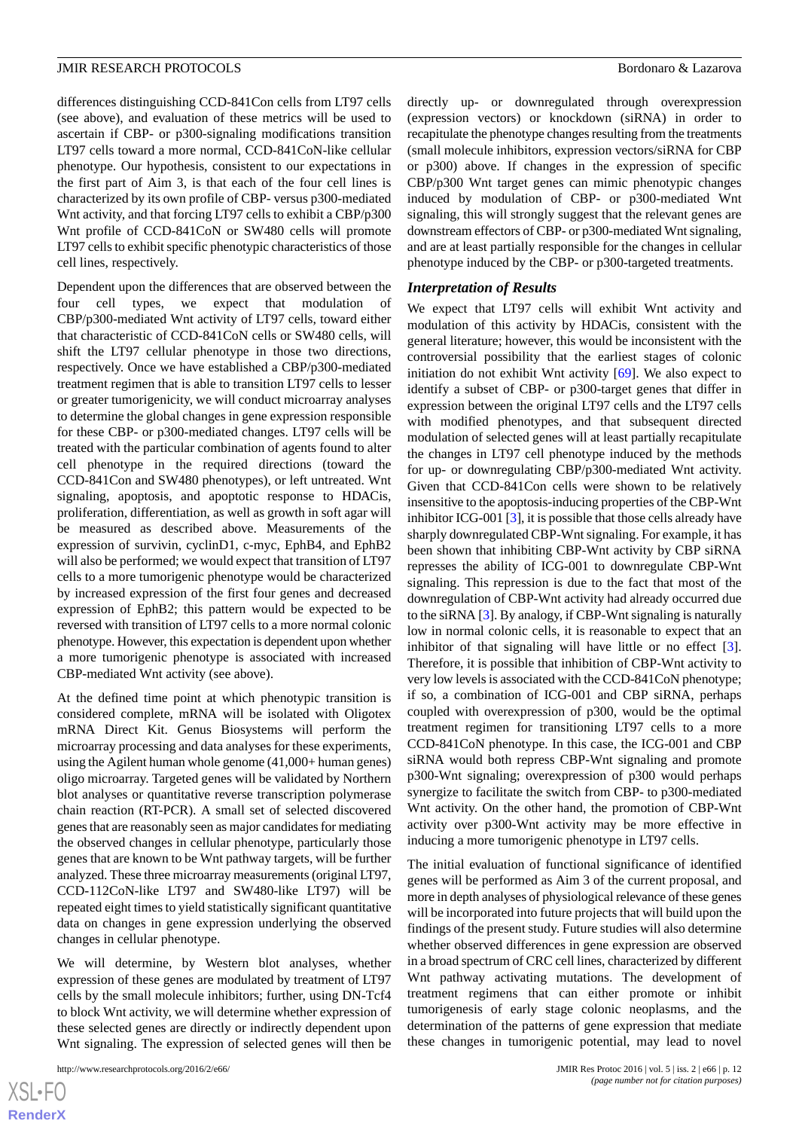differences distinguishing CCD-841Con cells from LT97 cells (see above), and evaluation of these metrics will be used to ascertain if CBP- or p300-signaling modifications transition LT97 cells toward a more normal, CCD-841CoN-like cellular phenotype. Our hypothesis, consistent to our expectations in the first part of Aim 3, is that each of the four cell lines is characterized by its own profile of CBP- versus p300-mediated Wnt activity, and that forcing LT97 cells to exhibit a CBP/p300 Wnt profile of CCD-841CoN or SW480 cells will promote LT97 cells to exhibit specific phenotypic characteristics of those cell lines, respectively.

Dependent upon the differences that are observed between the four cell types, we expect that modulation of CBP/p300-mediated Wnt activity of LT97 cells, toward either that characteristic of CCD-841CoN cells or SW480 cells, will shift the LT97 cellular phenotype in those two directions, respectively. Once we have established a CBP/p300-mediated treatment regimen that is able to transition LT97 cells to lesser or greater tumorigenicity, we will conduct microarray analyses to determine the global changes in gene expression responsible for these CBP- or p300-mediated changes. LT97 cells will be treated with the particular combination of agents found to alter cell phenotype in the required directions (toward the CCD-841Con and SW480 phenotypes), or left untreated. Wnt signaling, apoptosis, and apoptotic response to HDACis, proliferation, differentiation, as well as growth in soft agar will be measured as described above. Measurements of the expression of survivin, cyclinD1, c-myc, EphB4, and EphB2 will also be performed; we would expect that transition of LT97 cells to a more tumorigenic phenotype would be characterized by increased expression of the first four genes and decreased expression of EphB2; this pattern would be expected to be reversed with transition of LT97 cells to a more normal colonic phenotype. However, this expectation is dependent upon whether a more tumorigenic phenotype is associated with increased CBP-mediated Wnt activity (see above).

At the defined time point at which phenotypic transition is considered complete, mRNA will be isolated with Oligotex mRNA Direct Kit. Genus Biosystems will perform the microarray processing and data analyses for these experiments, using the Agilent human whole genome (41,000+ human genes) oligo microarray. Targeted genes will be validated by Northern blot analyses or quantitative reverse transcription polymerase chain reaction (RT-PCR). A small set of selected discovered genes that are reasonably seen as major candidates for mediating the observed changes in cellular phenotype, particularly those genes that are known to be Wnt pathway targets, will be further analyzed. These three microarray measurements (original LT97, CCD-112CoN-like LT97 and SW480-like LT97) will be repeated eight times to yield statistically significant quantitative data on changes in gene expression underlying the observed changes in cellular phenotype.

We will determine, by Western blot analyses, whether expression of these genes are modulated by treatment of LT97 cells by the small molecule inhibitors; further, using DN-Tcf4 to block Wnt activity, we will determine whether expression of these selected genes are directly or indirectly dependent upon Wnt signaling. The expression of selected genes will then be

directly up- or downregulated through overexpression (expression vectors) or knockdown (siRNA) in order to recapitulate the phenotype changes resulting from the treatments (small molecule inhibitors, expression vectors/siRNA for CBP or p300) above. If changes in the expression of specific CBP/p300 Wnt target genes can mimic phenotypic changes induced by modulation of CBP- or p300-mediated Wnt signaling, this will strongly suggest that the relevant genes are downstream effectors of CBP- or p300-mediated Wnt signaling, and are at least partially responsible for the changes in cellular phenotype induced by the CBP- or p300-targeted treatments.

#### *Interpretation of Results*

We expect that LT97 cells will exhibit Wnt activity and modulation of this activity by HDACis, consistent with the general literature; however, this would be inconsistent with the controversial possibility that the earliest stages of colonic initiation do not exhibit Wnt activity [[69\]](#page-16-14). We also expect to identify a subset of CBP- or p300-target genes that differ in expression between the original LT97 cells and the LT97 cells with modified phenotypes, and that subsequent directed modulation of selected genes will at least partially recapitulate the changes in LT97 cell phenotype induced by the methods for up- or downregulating CBP/p300-mediated Wnt activity. Given that CCD-841Con cells were shown to be relatively insensitive to the apoptosis-inducing properties of the CBP-Wnt inhibitor ICG-001 [\[3](#page-14-12)], it is possible that those cells already have sharply downregulated CBP-Wnt signaling. For example, it has been shown that inhibiting CBP-Wnt activity by CBP siRNA represses the ability of ICG-001 to downregulate CBP-Wnt signaling. This repression is due to the fact that most of the downregulation of CBP-Wnt activity had already occurred due to the siRNA [[3\]](#page-14-12). By analogy, if CBP-Wnt signaling is naturally low in normal colonic cells, it is reasonable to expect that an inhibitor of that signaling will have little or no effect [[3\]](#page-14-12). Therefore, it is possible that inhibition of CBP-Wnt activity to very low levels is associated with the CCD-841CoN phenotype; if so, a combination of ICG-001 and CBP siRNA, perhaps coupled with overexpression of p300, would be the optimal treatment regimen for transitioning LT97 cells to a more CCD-841CoN phenotype. In this case, the ICG-001 and CBP siRNA would both repress CBP-Wnt signaling and promote p300-Wnt signaling; overexpression of p300 would perhaps synergize to facilitate the switch from CBP- to p300-mediated Wnt activity. On the other hand, the promotion of CBP-Wnt activity over p300-Wnt activity may be more effective in inducing a more tumorigenic phenotype in LT97 cells.

The initial evaluation of functional significance of identified genes will be performed as Aim 3 of the current proposal, and more in depth analyses of physiological relevance of these genes will be incorporated into future projects that will build upon the findings of the present study. Future studies will also determine whether observed differences in gene expression are observed in a broad spectrum of CRC cell lines, characterized by different Wnt pathway activating mutations. The development of treatment regimens that can either promote or inhibit tumorigenesis of early stage colonic neoplasms, and the determination of the patterns of gene expression that mediate these changes in tumorigenic potential, may lead to novel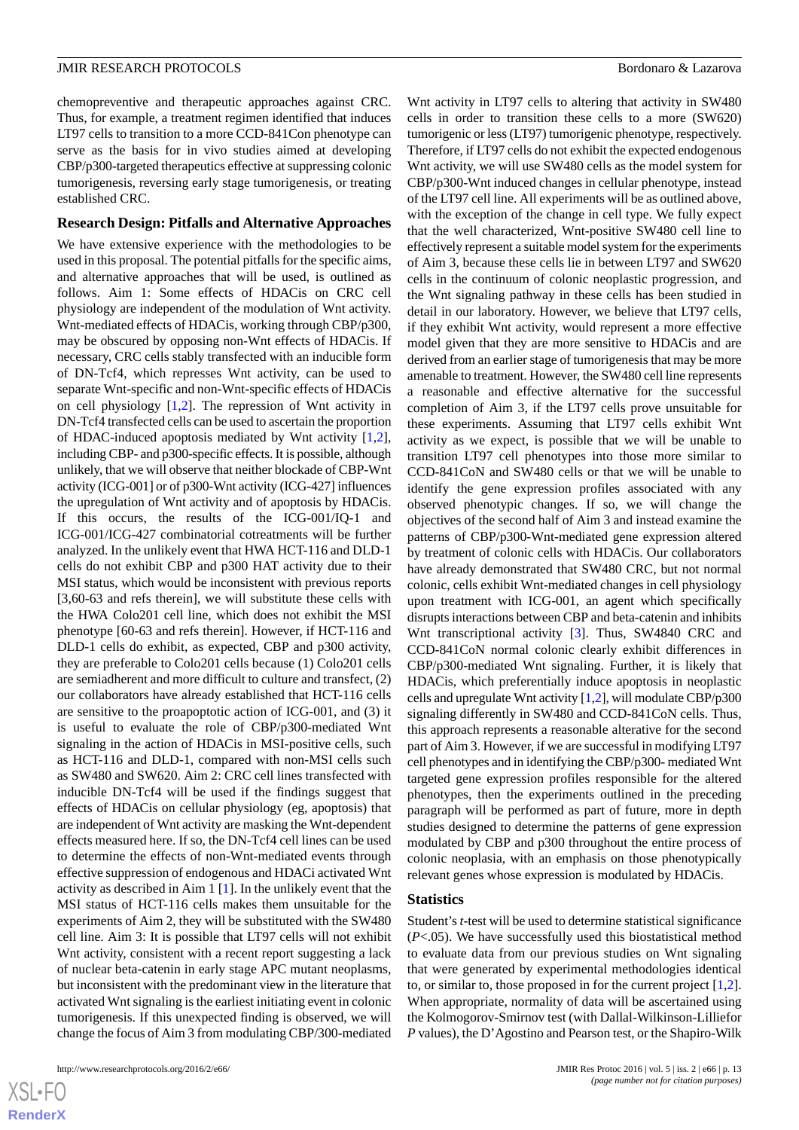chemopreventive and therapeutic approaches against CRC. Thus, for example, a treatment regimen identified that induces LT97 cells to transition to a more CCD-841Con phenotype can serve as the basis for in vivo studies aimed at developing CBP/p300-targeted therapeutics effective at suppressing colonic tumorigenesis, reversing early stage tumorigenesis, or treating established CRC.

#### **Research Design: Pitfalls and Alternative Approaches**

We have extensive experience with the methodologies to be used in this proposal. The potential pitfalls for the specific aims, and alternative approaches that will be used, is outlined as follows. Aim 1: Some effects of HDACis on CRC cell physiology are independent of the modulation of Wnt activity. Wnt-mediated effects of HDACis, working through CBP/p300, may be obscured by opposing non-Wnt effects of HDACis. If necessary, CRC cells stably transfected with an inducible form of DN-Tcf4, which represses Wnt activity, can be used to separate Wnt-specific and non-Wnt-specific effects of HDACis on cell physiology  $[1,2]$  $[1,2]$  $[1,2]$  $[1,2]$ . The repression of Wnt activity in DN-Tcf4 transfected cells can be used to ascertain the proportion of HDAC-induced apoptosis mediated by Wnt activity [\[1](#page-14-0),[2\]](#page-14-11), including CBP- and p300-specific effects. It is possible, although unlikely, that we will observe that neither blockade of CBP-Wnt activity (ICG-001] or of p300-Wnt activity (ICG-427] influences the upregulation of Wnt activity and of apoptosis by HDACis. If this occurs, the results of the ICG-001/IQ-1 and ICG-001/ICG-427 combinatorial cotreatments will be further analyzed. In the unlikely event that HWA HCT-116 and DLD-1 cells do not exhibit CBP and p300 HAT activity due to their MSI status, which would be inconsistent with previous reports [3,60-63 and refs therein], we will substitute these cells with the HWA Colo201 cell line, which does not exhibit the MSI phenotype [60-63 and refs therein]. However, if HCT-116 and DLD-1 cells do exhibit, as expected, CBP and p300 activity, they are preferable to Colo201 cells because (1) Colo201 cells are semiadherent and more difficult to culture and transfect, (2) our collaborators have already established that HCT-116 cells are sensitive to the proapoptotic action of ICG-001, and (3) it is useful to evaluate the role of CBP/p300-mediated Wnt signaling in the action of HDACis in MSI-positive cells, such as HCT-116 and DLD-1, compared with non-MSI cells such as SW480 and SW620. Aim 2: CRC cell lines transfected with inducible DN-Tcf4 will be used if the findings suggest that effects of HDACis on cellular physiology (eg, apoptosis) that are independent of Wnt activity are masking the Wnt-dependent effects measured here. If so, the DN-Tcf4 cell lines can be used to determine the effects of non-Wnt-mediated events through effective suppression of endogenous and HDACi activated Wnt activity as described in Aim 1 [[1\]](#page-14-0). In the unlikely event that the MSI status of HCT-116 cells makes them unsuitable for the experiments of Aim 2, they will be substituted with the SW480 cell line. Aim 3: It is possible that LT97 cells will not exhibit Wnt activity, consistent with a recent report suggesting a lack of nuclear beta-catenin in early stage APC mutant neoplasms, but inconsistent with the predominant view in the literature that activated Wnt signaling is the earliest initiating event in colonic tumorigenesis. If this unexpected finding is observed, we will change the focus of Aim 3 from modulating CBP/300-mediated

Wnt activity in LT97 cells to altering that activity in SW480 cells in order to transition these cells to a more (SW620) tumorigenic or less (LT97) tumorigenic phenotype, respectively. Therefore, if LT97 cells do not exhibit the expected endogenous Wnt activity, we will use SW480 cells as the model system for CBP/p300-Wnt induced changes in cellular phenotype, instead of the LT97 cell line. All experiments will be as outlined above, with the exception of the change in cell type. We fully expect that the well characterized, Wnt-positive SW480 cell line to effectively represent a suitable model system for the experiments of Aim 3, because these cells lie in between LT97 and SW620 cells in the continuum of colonic neoplastic progression, and the Wnt signaling pathway in these cells has been studied in detail in our laboratory. However, we believe that LT97 cells, if they exhibit Wnt activity, would represent a more effective model given that they are more sensitive to HDACis and are derived from an earlier stage of tumorigenesis that may be more amenable to treatment. However, the SW480 cell line represents a reasonable and effective alternative for the successful completion of Aim 3, if the LT97 cells prove unsuitable for these experiments. Assuming that LT97 cells exhibit Wnt activity as we expect, is possible that we will be unable to transition LT97 cell phenotypes into those more similar to CCD-841CoN and SW480 cells or that we will be unable to identify the gene expression profiles associated with any observed phenotypic changes. If so, we will change the objectives of the second half of Aim 3 and instead examine the patterns of CBP/p300-Wnt-mediated gene expression altered by treatment of colonic cells with HDACis. Our collaborators have already demonstrated that SW480 CRC, but not normal colonic, cells exhibit Wnt-mediated changes in cell physiology upon treatment with ICG-001, an agent which specifically disrupts interactions between CBP and beta-catenin and inhibits Wnt transcriptional activity [\[3](#page-14-12)]. Thus, SW4840 CRC and CCD-841CoN normal colonic clearly exhibit differences in CBP/p300-mediated Wnt signaling. Further, it is likely that HDACis, which preferentially induce apoptosis in neoplastic cells and upregulate Wnt activity [\[1](#page-14-0)[,2](#page-14-11)], will modulate CBP/p300 signaling differently in SW480 and CCD-841CoN cells. Thus, this approach represents a reasonable alterative for the second part of Aim 3. However, if we are successful in modifying LT97 cell phenotypes and in identifying the CBP/p300- mediated Wnt targeted gene expression profiles responsible for the altered phenotypes, then the experiments outlined in the preceding paragraph will be performed as part of future, more in depth studies designed to determine the patterns of gene expression modulated by CBP and p300 throughout the entire process of colonic neoplasia, with an emphasis on those phenotypically relevant genes whose expression is modulated by HDACis.

#### **Statistics**

Student's *t*-test will be used to determine statistical significance (*P*<.05). We have successfully used this biostatistical method to evaluate data from our previous studies on Wnt signaling that were generated by experimental methodologies identical to, or similar to, those proposed in for the current project [\[1](#page-14-0),[2\]](#page-14-11). When appropriate, normality of data will be ascertained using the Kolmogorov-Smirnov test (with Dallal-Wilkinson-Lilliefor *P* values), the D'Agostino and Pearson test, or the Shapiro-Wilk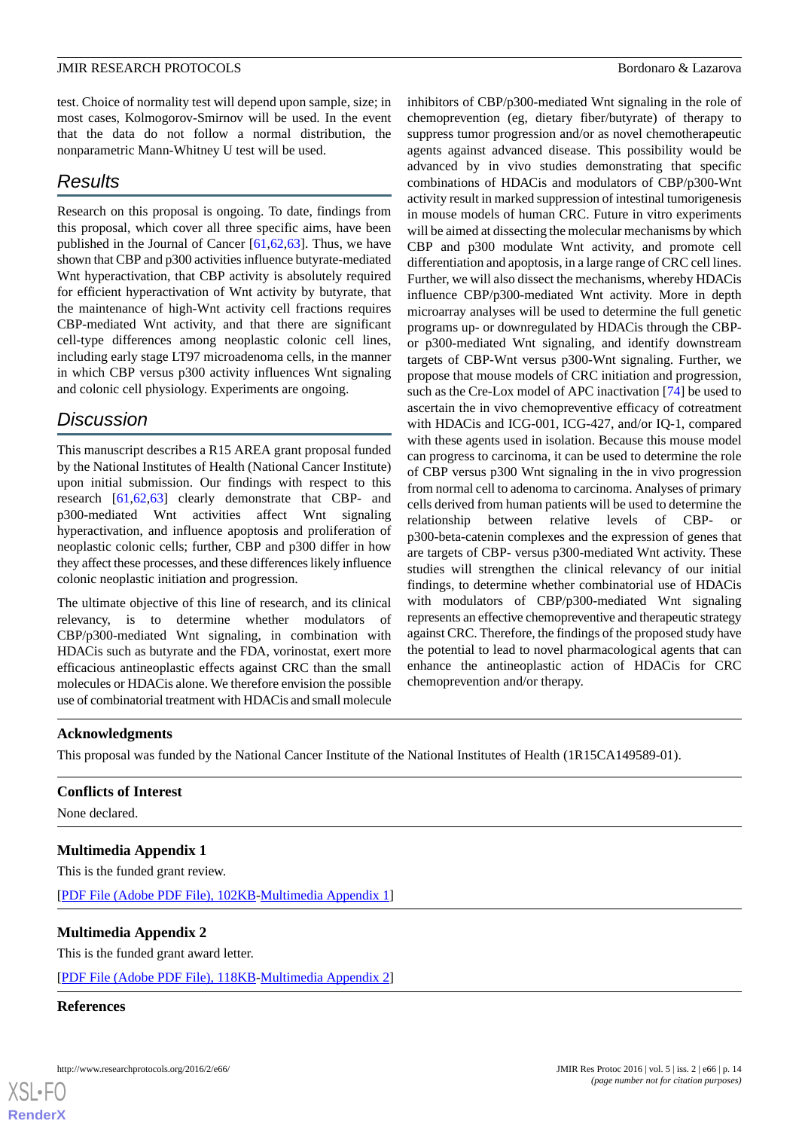test. Choice of normality test will depend upon sample, size; in most cases, Kolmogorov-Smirnov will be used. In the event that the data do not follow a normal distribution, the nonparametric Mann-Whitney U test will be used.

# *Results*

Research on this proposal is ongoing. To date, findings from this proposal, which cover all three specific aims, have been published in the Journal of Cancer [\[61](#page-16-7),[62,](#page-16-9)[63](#page-16-8)]. Thus, we have shown that CBP and p300 activities influence butyrate-mediated Wnt hyperactivation, that CBP activity is absolutely required for efficient hyperactivation of Wnt activity by butyrate, that the maintenance of high-Wnt activity cell fractions requires CBP-mediated Wnt activity, and that there are significant cell-type differences among neoplastic colonic cell lines, including early stage LT97 microadenoma cells, in the manner in which CBP versus p300 activity influences Wnt signaling and colonic cell physiology. Experiments are ongoing.

# *Discussion*

This manuscript describes a R15 AREA grant proposal funded by the National Institutes of Health (National Cancer Institute) upon initial submission. Our findings with respect to this research [[61](#page-16-7)[,62](#page-16-9),[63\]](#page-16-8) clearly demonstrate that CBP- and p300-mediated Wnt activities affect Wnt signaling hyperactivation, and influence apoptosis and proliferation of neoplastic colonic cells; further, CBP and p300 differ in how they affect these processes, and these differences likely influence colonic neoplastic initiation and progression.

The ultimate objective of this line of research, and its clinical relevancy, is to determine whether modulators of CBP/p300-mediated Wnt signaling, in combination with HDACis such as butyrate and the FDA, vorinostat, exert more efficacious antineoplastic effects against CRC than the small molecules or HDACis alone. We therefore envision the possible use of combinatorial treatment with HDACis and small molecule

inhibitors of CBP/p300-mediated Wnt signaling in the role of chemoprevention (eg, dietary fiber/butyrate) of therapy to suppress tumor progression and/or as novel chemotherapeutic agents against advanced disease. This possibility would be advanced by in vivo studies demonstrating that specific combinations of HDACis and modulators of CBP/p300-Wnt activity result in marked suppression of intestinal tumorigenesis in mouse models of human CRC. Future in vitro experiments will be aimed at dissecting the molecular mechanisms by which CBP and p300 modulate Wnt activity, and promote cell differentiation and apoptosis, in a large range of CRC cell lines. Further, we will also dissect the mechanisms, whereby HDACis influence CBP/p300-mediated Wnt activity. More in depth microarray analyses will be used to determine the full genetic programs up- or downregulated by HDACis through the CBPor p300-mediated Wnt signaling, and identify downstream targets of CBP-Wnt versus p300-Wnt signaling. Further, we propose that mouse models of CRC initiation and progression, such as the Cre-Lox model of APC inactivation [\[74](#page-17-2)] be used to ascertain the in vivo chemopreventive efficacy of cotreatment with HDACis and ICG-001, ICG-427, and/or IQ-1, compared with these agents used in isolation. Because this mouse model can progress to carcinoma, it can be used to determine the role of CBP versus p300 Wnt signaling in the in vivo progression from normal cell to adenoma to carcinoma. Analyses of primary cells derived from human patients will be used to determine the relationship between relative levels of CBP- or p300-beta-catenin complexes and the expression of genes that are targets of CBP- versus p300-mediated Wnt activity. These studies will strengthen the clinical relevancy of our initial findings, to determine whether combinatorial use of HDACis with modulators of CBP/p300-mediated Wnt signaling represents an effective chemopreventive and therapeutic strategy against CRC. Therefore, the findings of the proposed study have the potential to lead to novel pharmacological agents that can enhance the antineoplastic action of HDACis for CRC chemoprevention and/or therapy.

#### **Acknowledgments**

This proposal was funded by the National Cancer Institute of the National Institutes of Health (1R15CA149589-01).

# **Conflicts of Interest**

None declared.

# **Multimedia Appendix 1**

This is the funded grant review.

[[PDF File \(Adobe PDF File\), 102KB-Multimedia Appendix 1](https://jmir.org/api/download?alt_name=resprot_v5i2e66_app1.pdf&filename=63d490710cb6c5d706a1ed8d066be79e.pdf)]

#### **Multimedia Appendix 2**

This is the funded grant award letter.

[[PDF File \(Adobe PDF File\), 118KB-Multimedia Appendix 2](https://jmir.org/api/download?alt_name=resprot_v5i2e66_app2.pdf&filename=83c706921998b742209c901301e2060a.pdf)]

#### **References**

[XSL](http://www.w3.org/Style/XSL)•FO **[RenderX](http://www.renderx.com/)**

http://www.researchprotocols.org/2016/2/e66/ JMIR Res Protoc 2016 | vol. 5 | iss. 2 | e66 | p. 14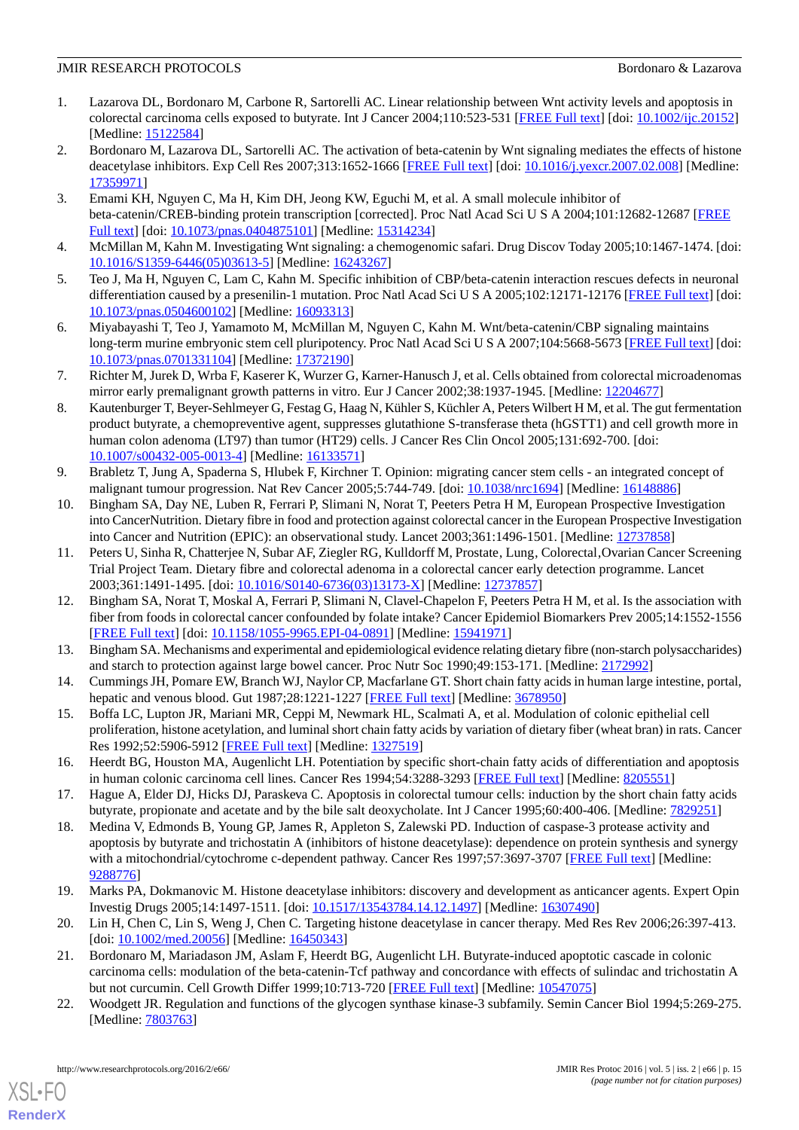- <span id="page-14-0"></span>1. Lazarova DL, Bordonaro M, Carbone R, Sartorelli AC. Linear relationship between Wnt activity levels and apoptosis in colorectal carcinoma cells exposed to butyrate. Int J Cancer 2004;110:523-531 [[FREE Full text](http://dx.doi.org/10.1002/ijc.20152)] [doi: [10.1002/ijc.20152](http://dx.doi.org/10.1002/ijc.20152)] [Medline: [15122584](http://www.ncbi.nlm.nih.gov/entrez/query.fcgi?cmd=Retrieve&db=PubMed&list_uids=15122584&dopt=Abstract)]
- <span id="page-14-11"></span>2. Bordonaro M, Lazarova DL, Sartorelli AC. The activation of beta-catenin by Wnt signaling mediates the effects of histone deacetylase inhibitors. Exp Cell Res 2007;313:1652-1666 [[FREE Full text\]](http://europepmc.org/abstract/MED/17359971) [doi: [10.1016/j.yexcr.2007.02.008\]](http://dx.doi.org/10.1016/j.yexcr.2007.02.008) [Medline: [17359971](http://www.ncbi.nlm.nih.gov/entrez/query.fcgi?cmd=Retrieve&db=PubMed&list_uids=17359971&dopt=Abstract)]
- <span id="page-14-12"></span>3. Emami KH, Nguyen C, Ma H, Kim DH, Jeong KW, Eguchi M, et al. A small molecule inhibitor of beta-catenin/CREB-binding protein transcription [corrected]. Proc Natl Acad Sci U S A 2004;101:12682-12687 [\[FREE](http://www.pnas.org/cgi/pmidlookup?view=long&pmid=15314234) [Full text\]](http://www.pnas.org/cgi/pmidlookup?view=long&pmid=15314234) [doi: [10.1073/pnas.0404875101](http://dx.doi.org/10.1073/pnas.0404875101)] [Medline: [15314234](http://www.ncbi.nlm.nih.gov/entrez/query.fcgi?cmd=Retrieve&db=PubMed&list_uids=15314234&dopt=Abstract)]
- <span id="page-14-15"></span><span id="page-14-14"></span>4. McMillan M, Kahn M. Investigating Wnt signaling: a chemogenomic safari. Drug Discov Today 2005;10:1467-1474. [doi: [10.1016/S1359-6446\(05\)03613-5\]](http://dx.doi.org/10.1016/S1359-6446(05)03613-5) [Medline: [16243267](http://www.ncbi.nlm.nih.gov/entrez/query.fcgi?cmd=Retrieve&db=PubMed&list_uids=16243267&dopt=Abstract)]
- <span id="page-14-13"></span>5. Teo J, Ma H, Nguyen C, Lam C, Kahn M. Specific inhibition of CBP/beta-catenin interaction rescues defects in neuronal differentiation caused by a presenilin-1 mutation. Proc Natl Acad Sci U S A 2005;102:12171-12176 [\[FREE Full text](http://www.pnas.org/cgi/pmidlookup?view=long&pmid=16093313)] [doi: [10.1073/pnas.0504600102\]](http://dx.doi.org/10.1073/pnas.0504600102) [Medline: [16093313](http://www.ncbi.nlm.nih.gov/entrez/query.fcgi?cmd=Retrieve&db=PubMed&list_uids=16093313&dopt=Abstract)]
- <span id="page-14-16"></span>6. Miyabayashi T, Teo J, Yamamoto M, McMillan M, Nguyen C, Kahn M. Wnt/beta-catenin/CBP signaling maintains long-term murine embryonic stem cell pluripotency. Proc Natl Acad Sci U S A 2007;104:5668-5673 [[FREE Full text](http://www.pnas.org/cgi/pmidlookup?view=long&pmid=17372190)] [doi: [10.1073/pnas.0701331104\]](http://dx.doi.org/10.1073/pnas.0701331104) [Medline: [17372190](http://www.ncbi.nlm.nih.gov/entrez/query.fcgi?cmd=Retrieve&db=PubMed&list_uids=17372190&dopt=Abstract)]
- <span id="page-14-17"></span>7. Richter M, Jurek D, Wrba F, Kaserer K, Wurzer G, Karner-Hanusch J, et al. Cells obtained from colorectal microadenomas mirror early premalignant growth patterns in vitro. Eur J Cancer 2002;38:1937-1945. [Medline: [12204677](http://www.ncbi.nlm.nih.gov/entrez/query.fcgi?cmd=Retrieve&db=PubMed&list_uids=12204677&dopt=Abstract)]
- 8. Kautenburger T, Beyer-Sehlmeyer G, Festag G, Haag N, Kühler S, Küchler A, Peters Wilbert H M, et al. The gut fermentation product butyrate, a chemopreventive agent, suppresses glutathione S-transferase theta (hGSTT1) and cell growth more in human colon adenoma (LT97) than tumor (HT29) cells. J Cancer Res Clin Oncol 2005;131:692-700. [doi: [10.1007/s00432-005-0013-4\]](http://dx.doi.org/10.1007/s00432-005-0013-4) [Medline: [16133571](http://www.ncbi.nlm.nih.gov/entrez/query.fcgi?cmd=Retrieve&db=PubMed&list_uids=16133571&dopt=Abstract)]
- <span id="page-14-2"></span>9. Brabletz T, Jung A, Spaderna S, Hlubek F, Kirchner T. Opinion: migrating cancer stem cells - an integrated concept of malignant tumour progression. Nat Rev Cancer 2005;5:744-749. [doi: [10.1038/nrc1694](http://dx.doi.org/10.1038/nrc1694)] [Medline: [16148886](http://www.ncbi.nlm.nih.gov/entrez/query.fcgi?cmd=Retrieve&db=PubMed&list_uids=16148886&dopt=Abstract)]
- 10. Bingham SA, Day NE, Luben R, Ferrari P, Slimani N, Norat T, Peeters Petra H M, European Prospective Investigation into CancerNutrition. Dietary fibre in food and protection against colorectal cancer in the European Prospective Investigation into Cancer and Nutrition (EPIC): an observational study. Lancet 2003;361:1496-1501. [Medline: [12737858\]](http://www.ncbi.nlm.nih.gov/entrez/query.fcgi?cmd=Retrieve&db=PubMed&list_uids=12737858&dopt=Abstract)
- <span id="page-14-1"></span>11. Peters U, Sinha R, Chatterjee N, Subar AF, Ziegler RG, Kulldorff M, Prostate, Lung, Colorectal, Ovarian Cancer Screening Trial Project Team. Dietary fibre and colorectal adenoma in a colorectal cancer early detection programme. Lancet 2003;361:1491-1495. [doi: [10.1016/S0140-6736\(03\)13173-X](http://dx.doi.org/10.1016/S0140-6736(03)13173-X)] [Medline: [12737857\]](http://www.ncbi.nlm.nih.gov/entrez/query.fcgi?cmd=Retrieve&db=PubMed&list_uids=12737857&dopt=Abstract)
- <span id="page-14-4"></span><span id="page-14-3"></span>12. Bingham SA, Norat T, Moskal A, Ferrari P, Slimani N, Clavel-Chapelon F, Peeters Petra H M, et al. Is the association with fiber from foods in colorectal cancer confounded by folate intake? Cancer Epidemiol Biomarkers Prev 2005;14:1552-1556 [[FREE Full text](http://cebp.aacrjournals.org/cgi/pmidlookup?view=long&pmid=15941971)] [doi: [10.1158/1055-9965.EPI-04-0891](http://dx.doi.org/10.1158/1055-9965.EPI-04-0891)] [Medline: [15941971](http://www.ncbi.nlm.nih.gov/entrez/query.fcgi?cmd=Retrieve&db=PubMed&list_uids=15941971&dopt=Abstract)]
- <span id="page-14-5"></span>13. Bingham SA. Mechanisms and experimental and epidemiological evidence relating dietary fibre (non-starch polysaccharides) and starch to protection against large bowel cancer. Proc Nutr Soc 1990;49:153-171. [Medline: [2172992\]](http://www.ncbi.nlm.nih.gov/entrez/query.fcgi?cmd=Retrieve&db=PubMed&list_uids=2172992&dopt=Abstract)
- 14. Cummings JH, Pomare EW, Branch WJ, Naylor CP, Macfarlane GT. Short chain fatty acids in human large intestine, portal, hepatic and venous blood. Gut 1987;28:1221-1227 [[FREE Full text\]](http://gut.bmj.com/cgi/pmidlookup?view=long&pmid=3678950) [Medline: [3678950\]](http://www.ncbi.nlm.nih.gov/entrez/query.fcgi?cmd=Retrieve&db=PubMed&list_uids=3678950&dopt=Abstract)
- 15. Boffa LC, Lupton JR, Mariani MR, Ceppi M, Newmark HL, Scalmati A, et al. Modulation of colonic epithelial cell proliferation, histone acetylation, and luminal short chain fatty acids by variation of dietary fiber (wheat bran) in rats. Cancer Res 1992;52:5906-5912 [[FREE Full text](http://cancerres.aacrjournals.org/cgi/pmidlookup?view=long&pmid=1327519)] [Medline: [1327519\]](http://www.ncbi.nlm.nih.gov/entrez/query.fcgi?cmd=Retrieve&db=PubMed&list_uids=1327519&dopt=Abstract)
- <span id="page-14-6"></span>16. Heerdt BG, Houston MA, Augenlicht LH. Potentiation by specific short-chain fatty acids of differentiation and apoptosis in human colonic carcinoma cell lines. Cancer Res 1994;54:3288-3293 [\[FREE Full text\]](http://cancerres.aacrjournals.org/cgi/pmidlookup?view=long&pmid=8205551) [Medline: [8205551\]](http://www.ncbi.nlm.nih.gov/entrez/query.fcgi?cmd=Retrieve&db=PubMed&list_uids=8205551&dopt=Abstract)
- <span id="page-14-7"></span>17. Hague A, Elder DJ, Hicks DJ, Paraskeva C. Apoptosis in colorectal tumour cells: induction by the short chain fatty acids butyrate, propionate and acetate and by the bile salt deoxycholate. Int J Cancer 1995;60:400-406. [Medline: [7829251\]](http://www.ncbi.nlm.nih.gov/entrez/query.fcgi?cmd=Retrieve&db=PubMed&list_uids=7829251&dopt=Abstract)
- <span id="page-14-8"></span>18. Medina V, Edmonds B, Young GP, James R, Appleton S, Zalewski PD. Induction of caspase-3 protease activity and apoptosis by butyrate and trichostatin A (inhibitors of histone deacetylase): dependence on protein synthesis and synergy with a mitochondrial/cytochrome c-dependent pathway. Cancer Res 1997;57:3697-3707 [[FREE Full text](http://cancerres.aacrjournals.org/cgi/pmidlookup?view=long&pmid=9288776)] [Medline: [9288776\]](http://www.ncbi.nlm.nih.gov/entrez/query.fcgi?cmd=Retrieve&db=PubMed&list_uids=9288776&dopt=Abstract)
- <span id="page-14-10"></span><span id="page-14-9"></span>19. Marks PA, Dokmanovic M. Histone deacetylase inhibitors: discovery and development as anticancer agents. Expert Opin Investig Drugs 2005;14:1497-1511. [doi: [10.1517/13543784.14.12.1497\]](http://dx.doi.org/10.1517/13543784.14.12.1497) [Medline: [16307490\]](http://www.ncbi.nlm.nih.gov/entrez/query.fcgi?cmd=Retrieve&db=PubMed&list_uids=16307490&dopt=Abstract)
- 20. Lin H, Chen C, Lin S, Weng J, Chen C. Targeting histone deacetylase in cancer therapy. Med Res Rev 2006;26:397-413. [doi: [10.1002/med.20056\]](http://dx.doi.org/10.1002/med.20056) [Medline: [16450343\]](http://www.ncbi.nlm.nih.gov/entrez/query.fcgi?cmd=Retrieve&db=PubMed&list_uids=16450343&dopt=Abstract)
- 21. Bordonaro M, Mariadason JM, Aslam F, Heerdt BG, Augenlicht LH. Butyrate-induced apoptotic cascade in colonic carcinoma cells: modulation of the beta-catenin-Tcf pathway and concordance with effects of sulindac and trichostatin A but not curcumin. Cell Growth Differ 1999;10:713-720 [\[FREE Full text](http://cgd.aacrjournals.org/cgi/pmidlookup?view=long&pmid=10547075)] [Medline: [10547075](http://www.ncbi.nlm.nih.gov/entrez/query.fcgi?cmd=Retrieve&db=PubMed&list_uids=10547075&dopt=Abstract)]
- 22. Woodgett JR. Regulation and functions of the glycogen synthase kinase-3 subfamily. Semin Cancer Biol 1994;5:269-275. [Medline: [7803763\]](http://www.ncbi.nlm.nih.gov/entrez/query.fcgi?cmd=Retrieve&db=PubMed&list_uids=7803763&dopt=Abstract)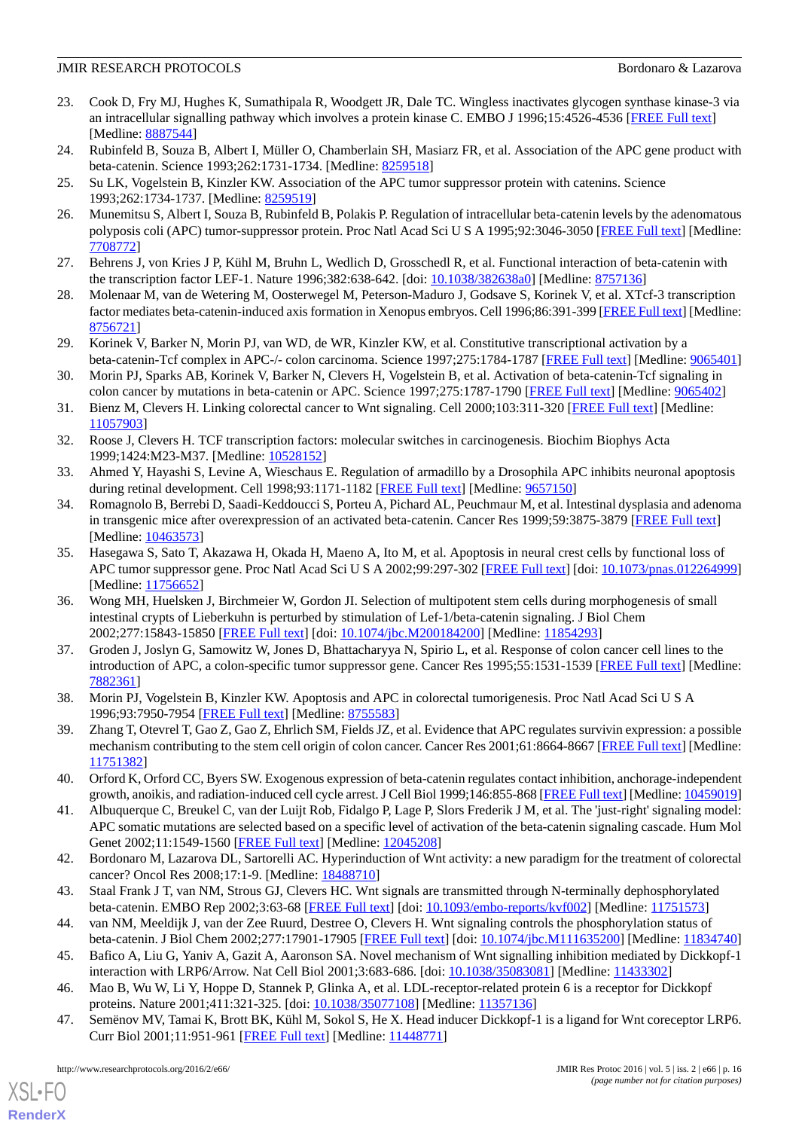- <span id="page-15-0"></span>23. Cook D, Fry MJ, Hughes K, Sumathipala R, Woodgett JR, Dale TC. Wingless inactivates glycogen synthase kinase-3 via an intracellular signalling pathway which involves a protein kinase C. EMBO J 1996;15:4526-4536 [\[FREE Full text](http://europepmc.org/abstract/MED/8887544)] [Medline: [8887544\]](http://www.ncbi.nlm.nih.gov/entrez/query.fcgi?cmd=Retrieve&db=PubMed&list_uids=8887544&dopt=Abstract)
- <span id="page-15-1"></span>24. Rubinfeld B, Souza B, Albert I, Müller O, Chamberlain SH, Masiarz FR, et al. Association of the APC gene product with beta-catenin. Science 1993;262:1731-1734. [Medline: [8259518\]](http://www.ncbi.nlm.nih.gov/entrez/query.fcgi?cmd=Retrieve&db=PubMed&list_uids=8259518&dopt=Abstract)
- <span id="page-15-2"></span>25. Su LK, Vogelstein B, Kinzler KW. Association of the APC tumor suppressor protein with catenins. Science 1993;262:1734-1737. [Medline: [8259519](http://www.ncbi.nlm.nih.gov/entrez/query.fcgi?cmd=Retrieve&db=PubMed&list_uids=8259519&dopt=Abstract)]
- <span id="page-15-3"></span>26. Munemitsu S, Albert I, Souza B, Rubinfeld B, Polakis P. Regulation of intracellular beta-catenin levels by the adenomatous polyposis coli (APC) tumor-suppressor protein. Proc Natl Acad Sci U S A 1995;92:3046-3050 [[FREE Full text\]](http://www.pnas.org/cgi/pmidlookup?view=long&pmid=7708772) [Medline: [7708772\]](http://www.ncbi.nlm.nih.gov/entrez/query.fcgi?cmd=Retrieve&db=PubMed&list_uids=7708772&dopt=Abstract)
- 27. Behrens J, von Kries J P, Kühl M, Bruhn L, Wedlich D, Grosschedl R, et al. Functional interaction of beta-catenin with the transcription factor LEF-1. Nature 1996;382:638-642. [doi: [10.1038/382638a0\]](http://dx.doi.org/10.1038/382638a0) [Medline: [8757136\]](http://www.ncbi.nlm.nih.gov/entrez/query.fcgi?cmd=Retrieve&db=PubMed&list_uids=8757136&dopt=Abstract)
- <span id="page-15-5"></span>28. Molenaar M, van de Wetering M, Oosterwegel M, Peterson-Maduro J, Godsave S, Korinek V, et al. XTcf-3 transcription factor mediates beta-catenin-induced axis formation in Xenopus embryos. Cell 1996;86:391-399 [[FREE Full text](http://linkinghub.elsevier.com/retrieve/pii/S0092-8674(00)80112-9)] [Medline: [8756721\]](http://www.ncbi.nlm.nih.gov/entrez/query.fcgi?cmd=Retrieve&db=PubMed&list_uids=8756721&dopt=Abstract)
- <span id="page-15-6"></span>29. Korinek V, Barker N, Morin PJ, van WD, de WR, Kinzler KW, et al. Constitutive transcriptional activation by a beta-catenin-Tcf complex in APC-/- colon carcinoma. Science 1997;275:1784-1787 [[FREE Full text](http://www.sciencemag.org/cgi/pmidlookup?view=long&pmid=9065401)] [Medline: [9065401](http://www.ncbi.nlm.nih.gov/entrez/query.fcgi?cmd=Retrieve&db=PubMed&list_uids=9065401&dopt=Abstract)]
- <span id="page-15-7"></span>30. Morin PJ, Sparks AB, Korinek V, Barker N, Clevers H, Vogelstein B, et al. Activation of beta-catenin-Tcf signaling in colon cancer by mutations in beta-catenin or APC. Science 1997;275:1787-1790 [\[FREE Full text\]](http://www.sciencemag.org/cgi/pmidlookup?view=long&pmid=9065402) [Medline:  $9065402$ ]
- <span id="page-15-4"></span>31. Bienz M, Clevers H. Linking colorectal cancer to Wnt signaling. Cell 2000;103:311-320 [\[FREE Full text\]](http://linkinghub.elsevier.com/retrieve/pii/S0092-8674(00)00122-7) [Medline: [11057903](http://www.ncbi.nlm.nih.gov/entrez/query.fcgi?cmd=Retrieve&db=PubMed&list_uids=11057903&dopt=Abstract)]
- <span id="page-15-10"></span><span id="page-15-8"></span>32. Roose J, Clevers H. TCF transcription factors: molecular switches in carcinogenesis. Biochim Biophys Acta 1999;1424:M23-M37. [Medline: [10528152](http://www.ncbi.nlm.nih.gov/entrez/query.fcgi?cmd=Retrieve&db=PubMed&list_uids=10528152&dopt=Abstract)]
- 33. Ahmed Y, Hayashi S, Levine A, Wieschaus E. Regulation of armadillo by a Drosophila APC inhibits neuronal apoptosis during retinal development. Cell 1998;93:1171-1182 [\[FREE Full text\]](http://linkinghub.elsevier.com/retrieve/pii/S0092-8674(00)81461-0) [Medline: [9657150](http://www.ncbi.nlm.nih.gov/entrez/query.fcgi?cmd=Retrieve&db=PubMed&list_uids=9657150&dopt=Abstract)]
- <span id="page-15-11"></span>34. Romagnolo B, Berrebi D, Saadi-Keddoucci S, Porteu A, Pichard AL, Peuchmaur M, et al. Intestinal dysplasia and adenoma in transgenic mice after overexpression of an activated beta-catenin. Cancer Res 1999;59:3875-3879 [[FREE Full text\]](http://cancerres.aacrjournals.org/cgi/pmidlookup?view=long&pmid=10463573) [Medline: [10463573](http://www.ncbi.nlm.nih.gov/entrez/query.fcgi?cmd=Retrieve&db=PubMed&list_uids=10463573&dopt=Abstract)]
- <span id="page-15-9"></span>35. Hasegawa S, Sato T, Akazawa H, Okada H, Maeno A, Ito M, et al. Apoptosis in neural crest cells by functional loss of APC tumor suppressor gene. Proc Natl Acad Sci U S A 2002;99:297-302 [[FREE Full text\]](http://www.pnas.org/cgi/pmidlookup?view=long&pmid=11756652) [doi: [10.1073/pnas.012264999](http://dx.doi.org/10.1073/pnas.012264999)] [Medline: [11756652](http://www.ncbi.nlm.nih.gov/entrez/query.fcgi?cmd=Retrieve&db=PubMed&list_uids=11756652&dopt=Abstract)]
- <span id="page-15-12"></span>36. Wong MH, Huelsken J, Birchmeier W, Gordon JI. Selection of multipotent stem cells during morphogenesis of small intestinal crypts of Lieberkuhn is perturbed by stimulation of Lef-1/beta-catenin signaling. J Biol Chem 2002;277:15843-15850 [\[FREE Full text\]](http://www.jbc.org/cgi/pmidlookup?view=long&pmid=11854293) [doi: [10.1074/jbc.M200184200\]](http://dx.doi.org/10.1074/jbc.M200184200) [Medline: [11854293\]](http://www.ncbi.nlm.nih.gov/entrez/query.fcgi?cmd=Retrieve&db=PubMed&list_uids=11854293&dopt=Abstract)
- <span id="page-15-14"></span><span id="page-15-13"></span>37. Groden J, Joslyn G, Samowitz W, Jones D, Bhattacharyya N, Spirio L, et al. Response of colon cancer cell lines to the introduction of APC, a colon-specific tumor suppressor gene. Cancer Res 1995;55:1531-1539 [\[FREE Full text\]](http://cancerres.aacrjournals.org/cgi/pmidlookup?view=long&pmid=7882361) [Medline: [7882361\]](http://www.ncbi.nlm.nih.gov/entrez/query.fcgi?cmd=Retrieve&db=PubMed&list_uids=7882361&dopt=Abstract)
- <span id="page-15-15"></span>38. Morin PJ, Vogelstein B, Kinzler KW. Apoptosis and APC in colorectal tumorigenesis. Proc Natl Acad Sci U S A 1996;93:7950-7954 [\[FREE Full text\]](http://www.pnas.org/cgi/pmidlookup?view=long&pmid=8755583) [Medline: [8755583](http://www.ncbi.nlm.nih.gov/entrez/query.fcgi?cmd=Retrieve&db=PubMed&list_uids=8755583&dopt=Abstract)]
- <span id="page-15-16"></span>39. Zhang T, Otevrel T, Gao Z, Gao Z, Ehrlich SM, Fields JZ, et al. Evidence that APC regulates survivin expression: a possible mechanism contributing to the stem cell origin of colon cancer. Cancer Res 2001;61:8664-8667 [\[FREE Full text\]](http://cancerres.aacrjournals.org/cgi/pmidlookup?view=long&pmid=11751382) [Medline: [11751382](http://www.ncbi.nlm.nih.gov/entrez/query.fcgi?cmd=Retrieve&db=PubMed&list_uids=11751382&dopt=Abstract)]
- <span id="page-15-17"></span>40. Orford K, Orford CC, Byers SW. Exogenous expression of beta-catenin regulates contact inhibition, anchorage-independent growth, anoikis, and radiation-induced cell cycle arrest. J Cell Biol 1999;146:855-868 [\[FREE Full text\]](http://jcb.rupress.org/cgi/pmidlookup?view=long&pmid=10459019) [Medline: [10459019\]](http://www.ncbi.nlm.nih.gov/entrez/query.fcgi?cmd=Retrieve&db=PubMed&list_uids=10459019&dopt=Abstract)
- <span id="page-15-18"></span>41. Albuquerque C, Breukel C, van der Luijt Rob, Fidalgo P, Lage P, Slors Frederik J M, et al. The 'just-right' signaling model: APC somatic mutations are selected based on a specific level of activation of the beta-catenin signaling cascade. Hum Mol Genet 2002;11:1549-1560 [[FREE Full text](http://hmg.oxfordjournals.org/cgi/pmidlookup?view=long&pmid=12045208)] [Medline: [12045208\]](http://www.ncbi.nlm.nih.gov/entrez/query.fcgi?cmd=Retrieve&db=PubMed&list_uids=12045208&dopt=Abstract)
- <span id="page-15-19"></span>42. Bordonaro M, Lazarova DL, Sartorelli AC. Hyperinduction of Wnt activity: a new paradigm for the treatment of colorectal cancer? Oncol Res 2008;17:1-9. [Medline: [18488710\]](http://www.ncbi.nlm.nih.gov/entrez/query.fcgi?cmd=Retrieve&db=PubMed&list_uids=18488710&dopt=Abstract)
- 43. Staal Frank J T, van NM, Strous GJ, Clevers HC. Wnt signals are transmitted through N-terminally dephosphorylated beta-catenin. EMBO Rep 2002;3:63-68 [\[FREE Full text](http://embor.embopress.org/cgi/pmidlookup?view=long&pmid=11751573)] [doi: [10.1093/embo-reports/kvf002\]](http://dx.doi.org/10.1093/embo-reports/kvf002) [Medline: [11751573](http://www.ncbi.nlm.nih.gov/entrez/query.fcgi?cmd=Retrieve&db=PubMed&list_uids=11751573&dopt=Abstract)]
- 44. van NM, Meeldijk J, van der Zee Ruurd, Destree O, Clevers H. Wnt signaling controls the phosphorylation status of beta-catenin. J Biol Chem 2002;277:17901-17905 [[FREE Full text\]](http://www.jbc.org/cgi/pmidlookup?view=long&pmid=11834740) [doi: [10.1074/jbc.M111635200](http://dx.doi.org/10.1074/jbc.M111635200)] [Medline: [11834740](http://www.ncbi.nlm.nih.gov/entrez/query.fcgi?cmd=Retrieve&db=PubMed&list_uids=11834740&dopt=Abstract)]
- 45. Bafico A, Liu G, Yaniv A, Gazit A, Aaronson SA. Novel mechanism of Wnt signalling inhibition mediated by Dickkopf-1 interaction with LRP6/Arrow. Nat Cell Biol 2001;3:683-686. [doi: [10.1038/35083081\]](http://dx.doi.org/10.1038/35083081) [Medline: [11433302\]](http://www.ncbi.nlm.nih.gov/entrez/query.fcgi?cmd=Retrieve&db=PubMed&list_uids=11433302&dopt=Abstract)
- 46. Mao B, Wu W, Li Y, Hoppe D, Stannek P, Glinka A, et al. LDL-receptor-related protein 6 is a receptor for Dickkopf proteins. Nature 2001;411:321-325. [doi: [10.1038/35077108](http://dx.doi.org/10.1038/35077108)] [Medline: [11357136\]](http://www.ncbi.nlm.nih.gov/entrez/query.fcgi?cmd=Retrieve&db=PubMed&list_uids=11357136&dopt=Abstract)
- 47. Semënov MV, Tamai K, Brott BK, Kühl M, Sokol S, He X. Head inducer Dickkopf-1 is a ligand for Wnt coreceptor LRP6. Curr Biol 2001;11:951-961 [[FREE Full text](http://linkinghub.elsevier.com/retrieve/pii/S0960-9822(01)00290-1)] [Medline: [11448771\]](http://www.ncbi.nlm.nih.gov/entrez/query.fcgi?cmd=Retrieve&db=PubMed&list_uids=11448771&dopt=Abstract)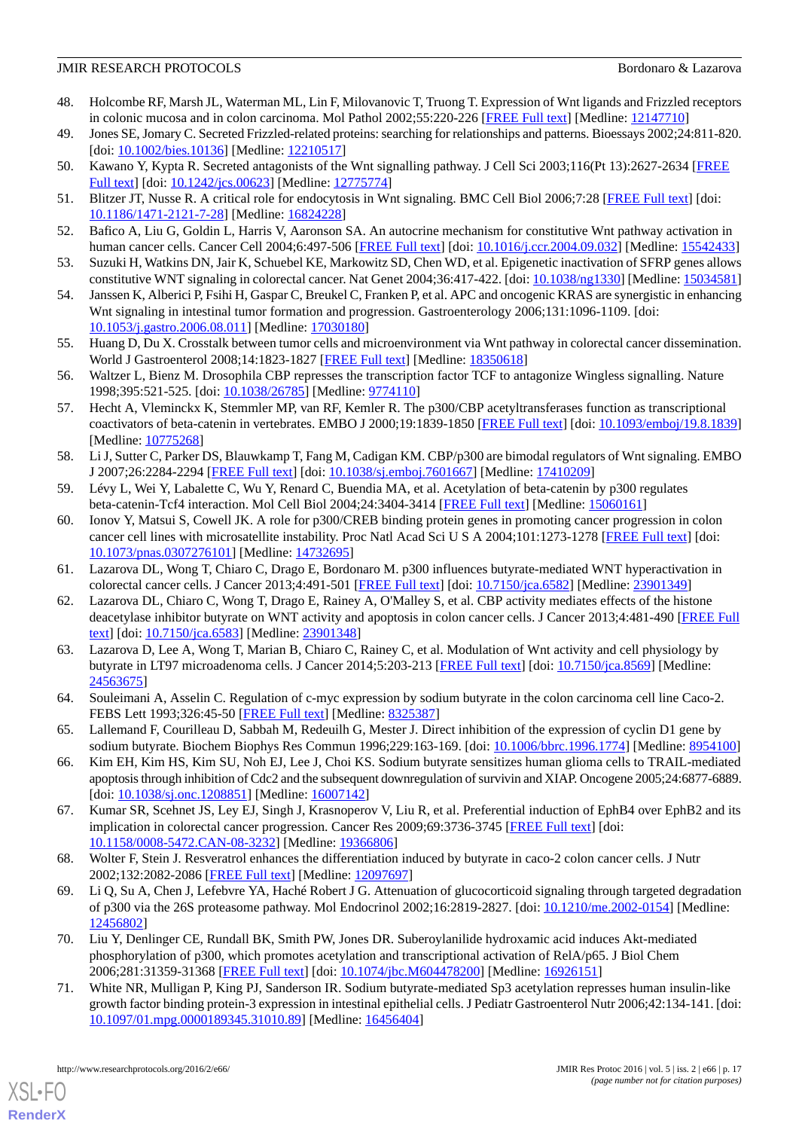- 48. Holcombe RF, Marsh JL, Waterman ML, Lin F, Milovanovic T, Truong T. Expression of Wnt ligands and Frizzled receptors in colonic mucosa and in colon carcinoma. Mol Pathol 2002;55:220-226 [\[FREE Full text\]](http://mp.bmj.com/cgi/pmidlookup?view=long&pmid=12147710) [Medline: [12147710](http://www.ncbi.nlm.nih.gov/entrez/query.fcgi?cmd=Retrieve&db=PubMed&list_uids=12147710&dopt=Abstract)]
- 49. Jones SE, Jomary C. Secreted Frizzled-related proteins: searching for relationships and patterns. Bioessays 2002;24:811-820. [doi: [10.1002/bies.10136\]](http://dx.doi.org/10.1002/bies.10136) [Medline: [12210517\]](http://www.ncbi.nlm.nih.gov/entrez/query.fcgi?cmd=Retrieve&db=PubMed&list_uids=12210517&dopt=Abstract)
- 50. Kawano Y, Kypta R. Secreted antagonists of the Wnt signalling pathway. J Cell Sci 2003;116(Pt 13):2627-2634 [\[FREE](http://jcs.biologists.org/cgi/pmidlookup?view=long&pmid=12775774) [Full text\]](http://jcs.biologists.org/cgi/pmidlookup?view=long&pmid=12775774) [doi: [10.1242/jcs.00623](http://dx.doi.org/10.1242/jcs.00623)] [Medline: [12775774\]](http://www.ncbi.nlm.nih.gov/entrez/query.fcgi?cmd=Retrieve&db=PubMed&list_uids=12775774&dopt=Abstract)
- <span id="page-16-1"></span>51. Blitzer JT, Nusse R. A critical role for endocytosis in Wnt signaling. BMC Cell Biol 2006;7:28 [[FREE Full text\]](http://bmccellbiol.biomedcentral.com/articles/10.1186/1471-2121-7-28) [doi: [10.1186/1471-2121-7-28\]](http://dx.doi.org/10.1186/1471-2121-7-28) [Medline: [16824228\]](http://www.ncbi.nlm.nih.gov/entrez/query.fcgi?cmd=Retrieve&db=PubMed&list_uids=16824228&dopt=Abstract)
- <span id="page-16-2"></span>52. Bafico A, Liu G, Goldin L, Harris V, Aaronson SA. An autocrine mechanism for constitutive Wnt pathway activation in human cancer cells. Cancer Cell 2004;6:497-506 [[FREE Full text](http://linkinghub.elsevier.com/retrieve/pii/S1535610804003046)] [doi: [10.1016/j.ccr.2004.09.032](http://dx.doi.org/10.1016/j.ccr.2004.09.032)] [Medline: [15542433](http://www.ncbi.nlm.nih.gov/entrez/query.fcgi?cmd=Retrieve&db=PubMed&list_uids=15542433&dopt=Abstract)]
- <span id="page-16-16"></span>53. Suzuki H, Watkins DN, Jair K, Schuebel KE, Markowitz SD, Chen WD, et al. Epigenetic inactivation of SFRP genes allows constitutive WNT signaling in colorectal cancer. Nat Genet 2004;36:417-422. [doi: [10.1038/ng1330](http://dx.doi.org/10.1038/ng1330)] [Medline: [15034581](http://www.ncbi.nlm.nih.gov/entrez/query.fcgi?cmd=Retrieve&db=PubMed&list_uids=15034581&dopt=Abstract)]
- <span id="page-16-0"></span>54. Janssen K, Alberici P, Fsihi H, Gaspar C, Breukel C, Franken P, et al. APC and oncogenic KRAS are synergistic in enhancing Wnt signaling in intestinal tumor formation and progression. Gastroenterology 2006;131:1096-1109. [doi: [10.1053/j.gastro.2006.08.011\]](http://dx.doi.org/10.1053/j.gastro.2006.08.011) [Medline: [17030180\]](http://www.ncbi.nlm.nih.gov/entrez/query.fcgi?cmd=Retrieve&db=PubMed&list_uids=17030180&dopt=Abstract)
- <span id="page-16-3"></span>55. Huang D, Du X. Crosstalk between tumor cells and microenvironment via Wnt pathway in colorectal cancer dissemination. World J Gastroenterol 2008;14:1823-1827 [[FREE Full text](http://www.wjgnet.com/1007-9327/full/v14/i12/1823.htm)] [Medline: [18350618](http://www.ncbi.nlm.nih.gov/entrez/query.fcgi?cmd=Retrieve&db=PubMed&list_uids=18350618&dopt=Abstract)]
- <span id="page-16-17"></span>56. Waltzer L, Bienz M. Drosophila CBP represses the transcription factor TCF to antagonize Wingless signalling. Nature 1998;395:521-525. [doi: [10.1038/26785](http://dx.doi.org/10.1038/26785)] [Medline: [9774110\]](http://www.ncbi.nlm.nih.gov/entrez/query.fcgi?cmd=Retrieve&db=PubMed&list_uids=9774110&dopt=Abstract)
- <span id="page-16-6"></span>57. Hecht A, Vleminckx K, Stemmler MP, van RF, Kemler R. The p300/CBP acetyltransferases function as transcriptional coactivators of beta-catenin in vertebrates. EMBO J 2000;19:1839-1850 [\[FREE Full text\]](http://emboj.embopress.org/cgi/pmidlookup?view=long&pmid=10775268) [doi: [10.1093/emboj/19.8.1839](http://dx.doi.org/10.1093/emboj/19.8.1839)] [Medline: [10775268](http://www.ncbi.nlm.nih.gov/entrez/query.fcgi?cmd=Retrieve&db=PubMed&list_uids=10775268&dopt=Abstract)]
- <span id="page-16-5"></span><span id="page-16-4"></span>58. Li J, Sutter C, Parker DS, Blauwkamp T, Fang M, Cadigan KM. CBP/p300 are bimodal regulators of Wnt signaling. EMBO J 2007;26:2284-2294 [[FREE Full text](http://emboj.embopress.org/cgi/pmidlookup?view=long&pmid=17410209)] [doi: [10.1038/sj.emboj.7601667](http://dx.doi.org/10.1038/sj.emboj.7601667)] [Medline: [17410209\]](http://www.ncbi.nlm.nih.gov/entrez/query.fcgi?cmd=Retrieve&db=PubMed&list_uids=17410209&dopt=Abstract)
- 59. Lévy L, Wei Y, Labalette C, Wu Y, Renard C, Buendia MA, et al. Acetylation of beta-catenin by p300 regulates beta-catenin-Tcf4 interaction. Mol Cell Biol 2004;24:3404-3414 [[FREE Full text](http://mcb.asm.org/cgi/pmidlookup?view=long&pmid=15060161)] [Medline: [15060161\]](http://www.ncbi.nlm.nih.gov/entrez/query.fcgi?cmd=Retrieve&db=PubMed&list_uids=15060161&dopt=Abstract)
- <span id="page-16-9"></span><span id="page-16-7"></span>60. Ionov Y, Matsui S, Cowell JK. A role for p300/CREB binding protein genes in promoting cancer progression in colon cancer cell lines with microsatellite instability. Proc Natl Acad Sci U S A 2004;101:1273-1278 [[FREE Full text](http://www.pnas.org/cgi/pmidlookup?view=long&pmid=14732695)] [doi: [10.1073/pnas.0307276101\]](http://dx.doi.org/10.1073/pnas.0307276101) [Medline: [14732695](http://www.ncbi.nlm.nih.gov/entrez/query.fcgi?cmd=Retrieve&db=PubMed&list_uids=14732695&dopt=Abstract)]
- <span id="page-16-8"></span>61. Lazarova DL, Wong T, Chiaro C, Drago E, Bordonaro M. p300 influences butyrate-mediated WNT hyperactivation in colorectal cancer cells. J Cancer 2013;4:491-501 [\[FREE Full text\]](http://www.jcancer.org/v04p0491.htm) [doi: [10.7150/jca.6582](http://dx.doi.org/10.7150/jca.6582)] [Medline: [23901349](http://www.ncbi.nlm.nih.gov/entrez/query.fcgi?cmd=Retrieve&db=PubMed&list_uids=23901349&dopt=Abstract)]
- 62. Lazarova DL, Chiaro C, Wong T, Drago E, Rainey A, O'Malley S, et al. CBP activity mediates effects of the histone deacetylase inhibitor butyrate on WNT activity and apoptosis in colon cancer cells. J Cancer 2013;4:481-490 [\[FREE Full](http://www.jcancer.org/v04p0481.htm) [text](http://www.jcancer.org/v04p0481.htm)] [doi: [10.7150/jca.6583](http://dx.doi.org/10.7150/jca.6583)] [Medline: [23901348\]](http://www.ncbi.nlm.nih.gov/entrez/query.fcgi?cmd=Retrieve&db=PubMed&list_uids=23901348&dopt=Abstract)
- <span id="page-16-10"></span>63. Lazarova D, Lee A, Wong T, Marian B, Chiaro C, Rainey C, et al. Modulation of Wnt activity and cell physiology by butyrate in LT97 microadenoma cells. J Cancer 2014;5:203-213 [[FREE Full text](http://www.jcancer.org/v05p0203.htm)] [doi: [10.7150/jca.8569\]](http://dx.doi.org/10.7150/jca.8569) [Medline: [24563675](http://www.ncbi.nlm.nih.gov/entrez/query.fcgi?cmd=Retrieve&db=PubMed&list_uids=24563675&dopt=Abstract)]
- <span id="page-16-11"></span>64. Souleimani A, Asselin C. Regulation of c-myc expression by sodium butyrate in the colon carcinoma cell line Caco-2. FEBS Lett 1993;326:45-50 [\[FREE Full text\]](http://linkinghub.elsevier.com/retrieve/pii/0014-5793(93)81758-R) [Medline: [8325387](http://www.ncbi.nlm.nih.gov/entrez/query.fcgi?cmd=Retrieve&db=PubMed&list_uids=8325387&dopt=Abstract)]
- <span id="page-16-12"></span>65. Lallemand F, Courilleau D, Sabbah M, Redeuilh G, Mester J. Direct inhibition of the expression of cyclin D1 gene by sodium butyrate. Biochem Biophys Res Commun 1996;229:163-169. [doi: [10.1006/bbrc.1996.1774](http://dx.doi.org/10.1006/bbrc.1996.1774)] [Medline: [8954100\]](http://www.ncbi.nlm.nih.gov/entrez/query.fcgi?cmd=Retrieve&db=PubMed&list_uids=8954100&dopt=Abstract)
- <span id="page-16-13"></span>66. Kim EH, Kim HS, Kim SU, Noh EJ, Lee J, Choi KS. Sodium butyrate sensitizes human glioma cells to TRAIL-mediated apoptosis through inhibition of Cdc2 and the subsequent downregulation of survivin and XIAP. Oncogene 2005;24:6877-6889. [doi: [10.1038/sj.onc.1208851](http://dx.doi.org/10.1038/sj.onc.1208851)] [Medline: [16007142](http://www.ncbi.nlm.nih.gov/entrez/query.fcgi?cmd=Retrieve&db=PubMed&list_uids=16007142&dopt=Abstract)]
- <span id="page-16-14"></span>67. Kumar SR, Scehnet JS, Ley EJ, Singh J, Krasnoperov V, Liu R, et al. Preferential induction of EphB4 over EphB2 and its implication in colorectal cancer progression. Cancer Res 2009;69:3736-3745 [\[FREE Full text](http://cancerres.aacrjournals.org/cgi/pmidlookup?view=long&pmid=19366806)] [doi: [10.1158/0008-5472.CAN-08-3232](http://dx.doi.org/10.1158/0008-5472.CAN-08-3232)] [Medline: [19366806](http://www.ncbi.nlm.nih.gov/entrez/query.fcgi?cmd=Retrieve&db=PubMed&list_uids=19366806&dopt=Abstract)]
- 68. Wolter F, Stein J. Resveratrol enhances the differentiation induced by butyrate in caco-2 colon cancer cells. J Nutr 2002;132:2082-2086 [\[FREE Full text\]](http://jn.nutrition.org/cgi/pmidlookup?view=long&pmid=12097697) [Medline: [12097697](http://www.ncbi.nlm.nih.gov/entrez/query.fcgi?cmd=Retrieve&db=PubMed&list_uids=12097697&dopt=Abstract)]
- <span id="page-16-15"></span>69. Li Q, Su A, Chen J, Lefebvre YA, Haché Robert J G. Attenuation of glucocorticoid signaling through targeted degradation of p300 via the 26S proteasome pathway. Mol Endocrinol 2002;16:2819-2827. [doi: [10.1210/me.2002-0154\]](http://dx.doi.org/10.1210/me.2002-0154) [Medline: [12456802](http://www.ncbi.nlm.nih.gov/entrez/query.fcgi?cmd=Retrieve&db=PubMed&list_uids=12456802&dopt=Abstract)]
- 70. Liu Y, Denlinger CE, Rundall BK, Smith PW, Jones DR. Suberoylanilide hydroxamic acid induces Akt-mediated phosphorylation of p300, which promotes acetylation and transcriptional activation of RelA/p65. J Biol Chem 2006;281:31359-31368 [\[FREE Full text\]](http://www.jbc.org/cgi/pmidlookup?view=long&pmid=16926151) [doi: [10.1074/jbc.M604478200\]](http://dx.doi.org/10.1074/jbc.M604478200) [Medline: [16926151\]](http://www.ncbi.nlm.nih.gov/entrez/query.fcgi?cmd=Retrieve&db=PubMed&list_uids=16926151&dopt=Abstract)
- 71. White NR, Mulligan P, King PJ, Sanderson IR. Sodium butyrate-mediated Sp3 acetylation represses human insulin-like growth factor binding protein-3 expression in intestinal epithelial cells. J Pediatr Gastroenterol Nutr 2006;42:134-141. [doi: [10.1097/01.mpg.0000189345.31010.89\]](http://dx.doi.org/10.1097/01.mpg.0000189345.31010.89) [Medline: [16456404](http://www.ncbi.nlm.nih.gov/entrez/query.fcgi?cmd=Retrieve&db=PubMed&list_uids=16456404&dopt=Abstract)]